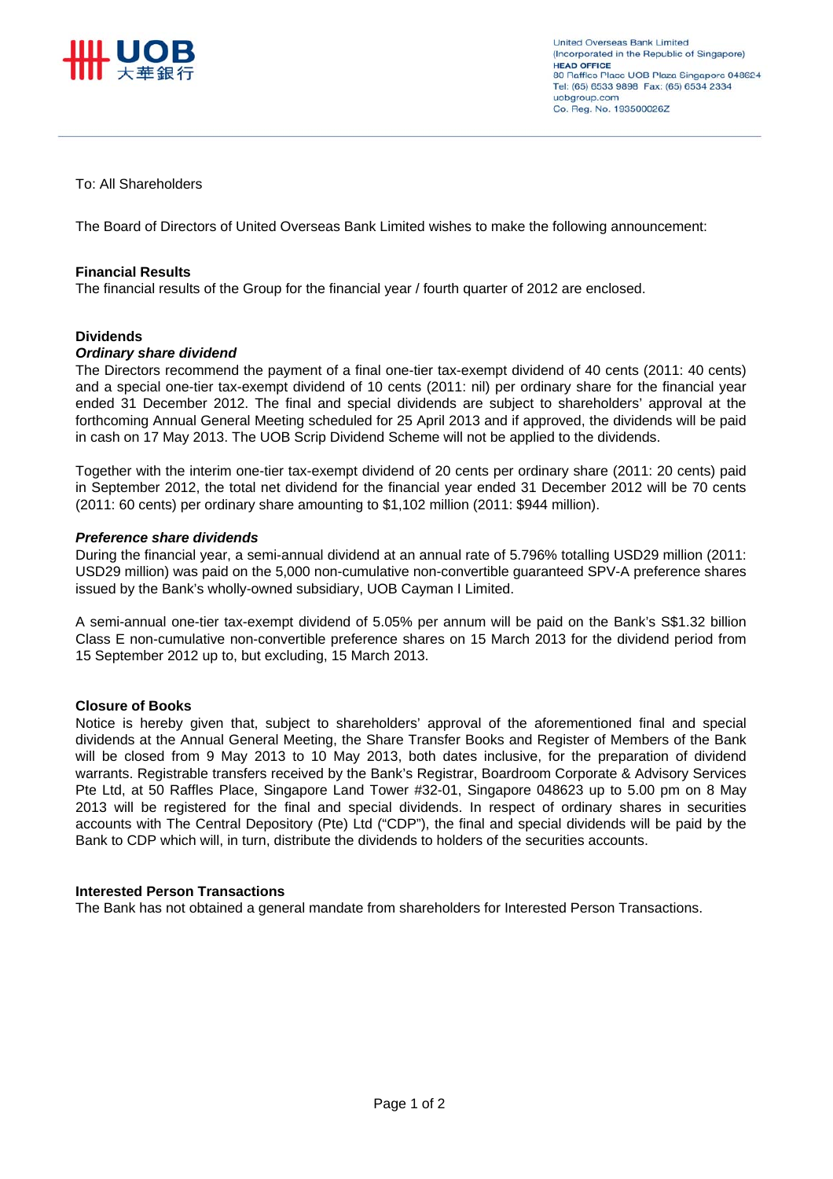

### To: All Shareholders

The Board of Directors of United Overseas Bank Limited wishes to make the following announcement:

#### **Financial Results**

The financial results of the Group for the financial year / fourth quarter of 2012 are enclosed.

#### **Dividends**

#### *Ordinary share dividend*

The Directors recommend the payment of a final one-tier tax-exempt dividend of 40 cents (2011: 40 cents) and a special one-tier tax-exempt dividend of 10 cents (2011: nil) per ordinary share for the financial year ended 31 December 2012. The final and special dividends are subject to shareholders' approval at the forthcoming Annual General Meeting scheduled for 25 April 2013 and if approved, the dividends will be paid in cash on 17 May 2013. The UOB Scrip Dividend Scheme will not be applied to the dividends.

Together with the interim one-tier tax-exempt dividend of 20 cents per ordinary share (2011: 20 cents) paid in September 2012, the total net dividend for the financial year ended 31 December 2012 will be 70 cents (2011: 60 cents) per ordinary share amounting to \$1,102 million (2011: \$944 million).

#### *Preference share dividends*

During the financial year, a semi-annual dividend at an annual rate of 5.796% totalling USD29 million (2011: USD29 million) was paid on the 5,000 non-cumulative non-convertible guaranteed SPV-A preference shares issued by the Bank's wholly-owned subsidiary, UOB Cayman I Limited.

A semi-annual one-tier tax-exempt dividend of 5.05% per annum will be paid on the Bank's S\$1.32 billion Class E non-cumulative non-convertible preference shares on 15 March 2013 for the dividend period from 15 September 2012 up to, but excluding, 15 March 2013.

#### **Closure of Books**

Notice is hereby given that, subject to shareholders' approval of the aforementioned final and special dividends at the Annual General Meeting, the Share Transfer Books and Register of Members of the Bank will be closed from 9 May 2013 to 10 May 2013, both dates inclusive, for the preparation of dividend warrants. Registrable transfers received by the Bank's Registrar, Boardroom Corporate & Advisory Services Pte Ltd, at 50 Raffles Place, Singapore Land Tower #32-01, Singapore 048623 up to 5.00 pm on 8 May 2013 will be registered for the final and special dividends. In respect of ordinary shares in securities accounts with The Central Depository (Pte) Ltd ("CDP"), the final and special dividends will be paid by the Bank to CDP which will, in turn, distribute the dividends to holders of the securities accounts.

#### **Interested Person Transactions**

The Bank has not obtained a general mandate from shareholders for Interested Person Transactions.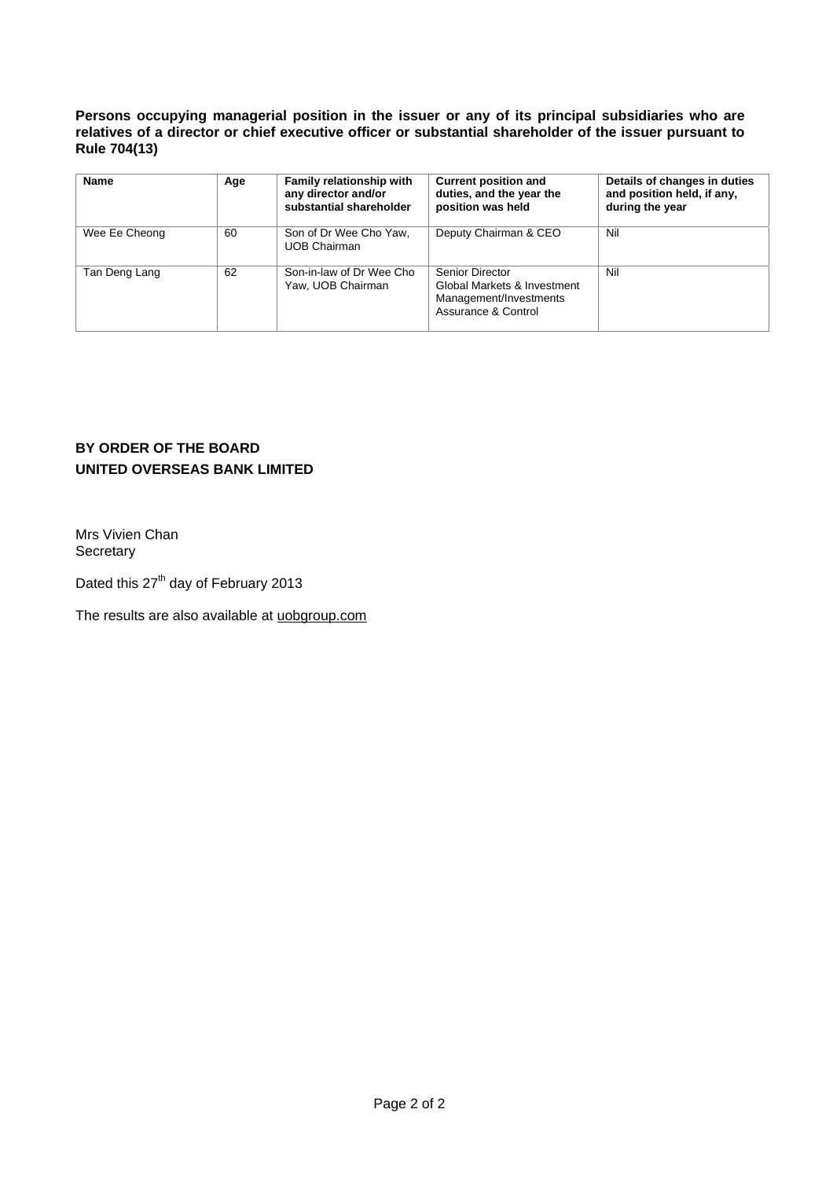**Persons occupying managerial position in the issuer or any of its principal subsidiaries who are relatives of a director or chief executive officer or substantial shareholder of the issuer pursuant to Rule 704(13)** 

| <b>Name</b>   | <b>Family relationship with</b><br>Age<br>any director and/or<br>substantial shareholder |                                               | <b>Current position and</b><br>duties, and the year the<br>position was held                    | Details of changes in duties<br>and position held, if any,<br>during the year |
|---------------|------------------------------------------------------------------------------------------|-----------------------------------------------|-------------------------------------------------------------------------------------------------|-------------------------------------------------------------------------------|
| Wee Ee Cheong | 60                                                                                       | Son of Dr Wee Cho Yaw,<br><b>UOB Chairman</b> | Deputy Chairman & CEO                                                                           | Nil                                                                           |
| Tan Deng Lang | 62                                                                                       | Son-in-law of Dr Wee Cho<br>Yaw, UOB Chairman | Senior Director<br>Global Markets & Investment<br>Management/Investments<br>Assurance & Control | Nil                                                                           |

# **BY ORDER OF THE BOARD UNITED OVERSEAS BANK LIMITED**

Mrs Vivien Chan **Secretary** 

Dated this 27<sup>th</sup> day of February 2013

The results are also available at uobgroup.com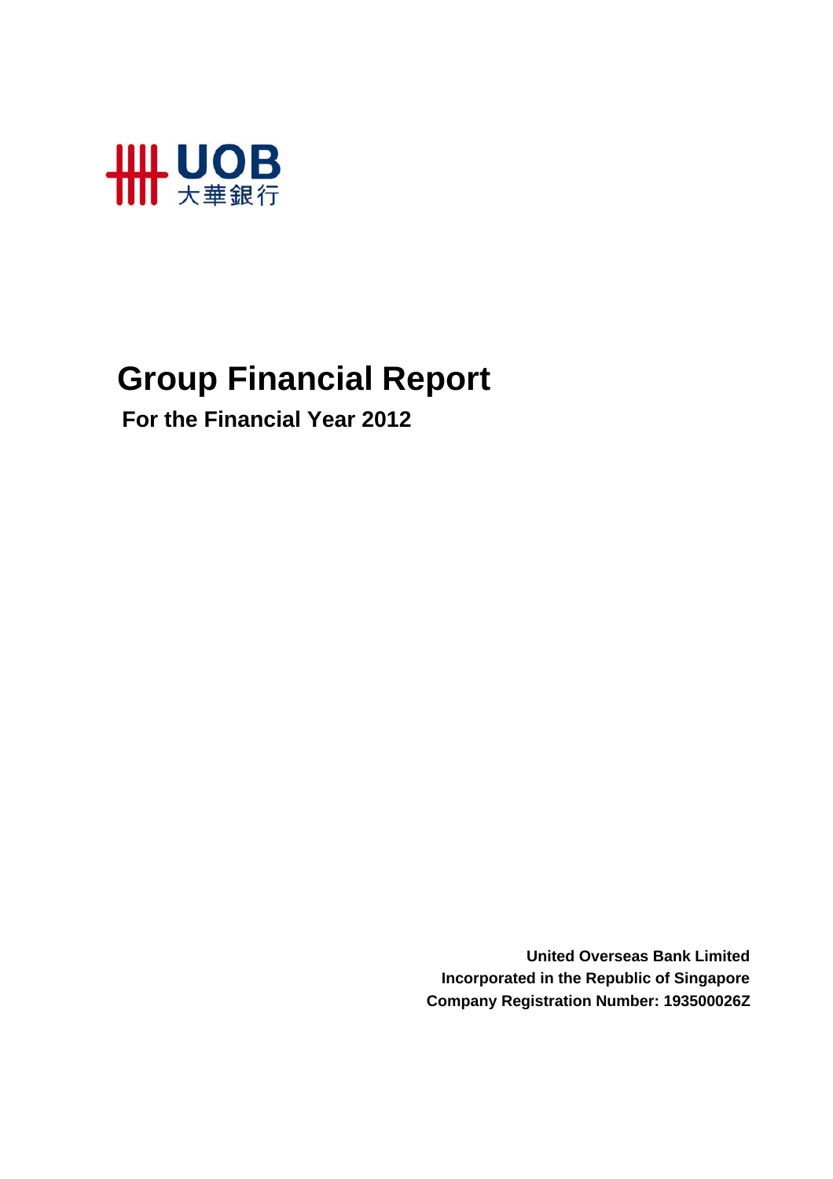

# **Group Financial Report**

 **For the Financial Year 2012**

**United Overseas Bank Limited Incorporated in the Republic of Singapore Company Registration Number: 193500026Z**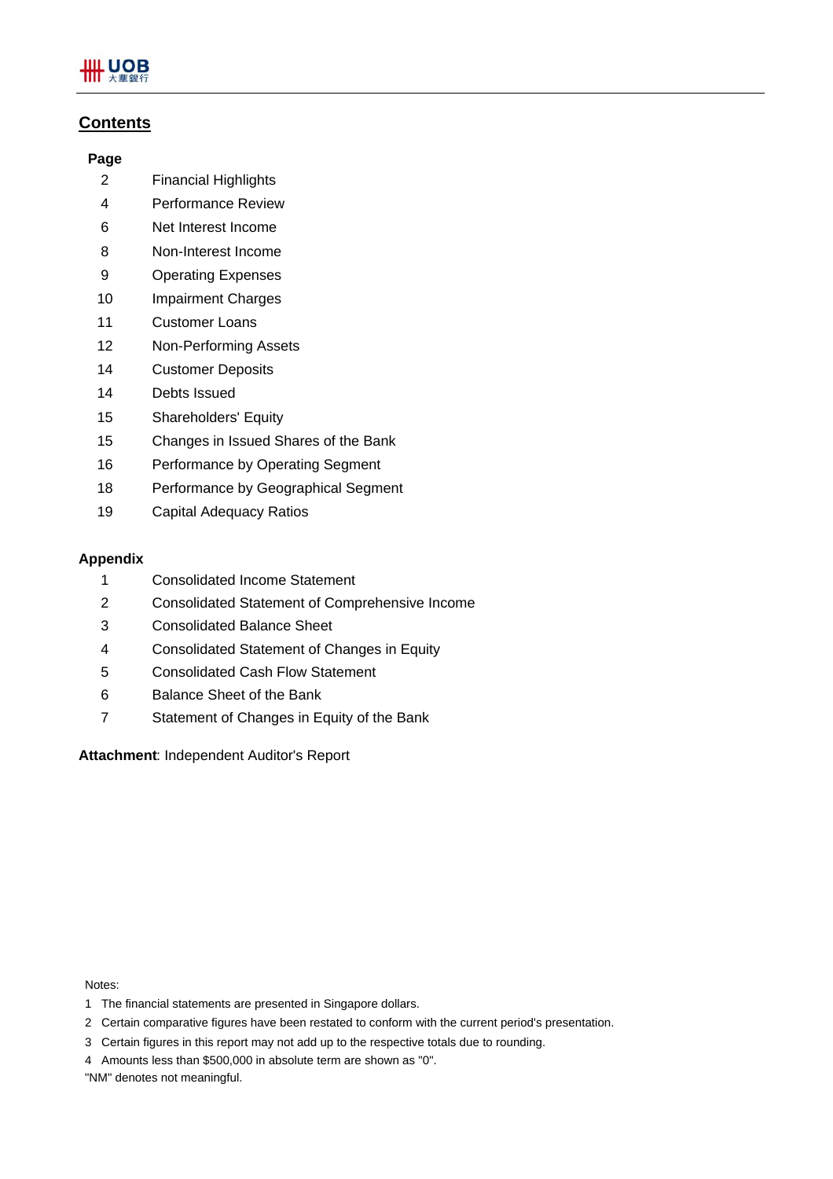

# **Contents**

### **Page**

- 2 Financial Highlights
- 4 Performance Review
- 6 Net Interest Income
- 8 Non-Interest Income
- 9 Operating Expenses
- 10 Impairment Charges
- 11 Customer Loans
- 12 Non-Performing Assets
- 14 Customer Deposits
- 14 Debts Issued
- 15 Shareholders' Equity
- 15 Changes in Issued Shares of the Bank
- 16 Performance by Operating Segment
- 18 Performance by Geographical Segment
- 19 Capital Adequacy Ratios

### **Appendix**

- 1 Consolidated Income Statement
- 2 Consolidated Statement of Comprehensive Income
- 3 Consolidated Balance Sheet
- 4 Consolidated Statement of Changes in Equity
- 5 Consolidated Cash Flow Statement
- 6 Balance Sheet of the Bank
- 7 Statement of Changes in Equity of the Bank

**Attachment**: Independent Auditor's Report

Notes:

- 1 The financial statements are presented in Singapore dollars.
- 2 Certain comparative figures have been restated to conform with the current period's presentation.
- 3 Certain figures in this report may not add up to the respective totals due to rounding.
- 4 Amounts less than \$500,000 in absolute term are shown as "0".

"NM" denotes not meaningful.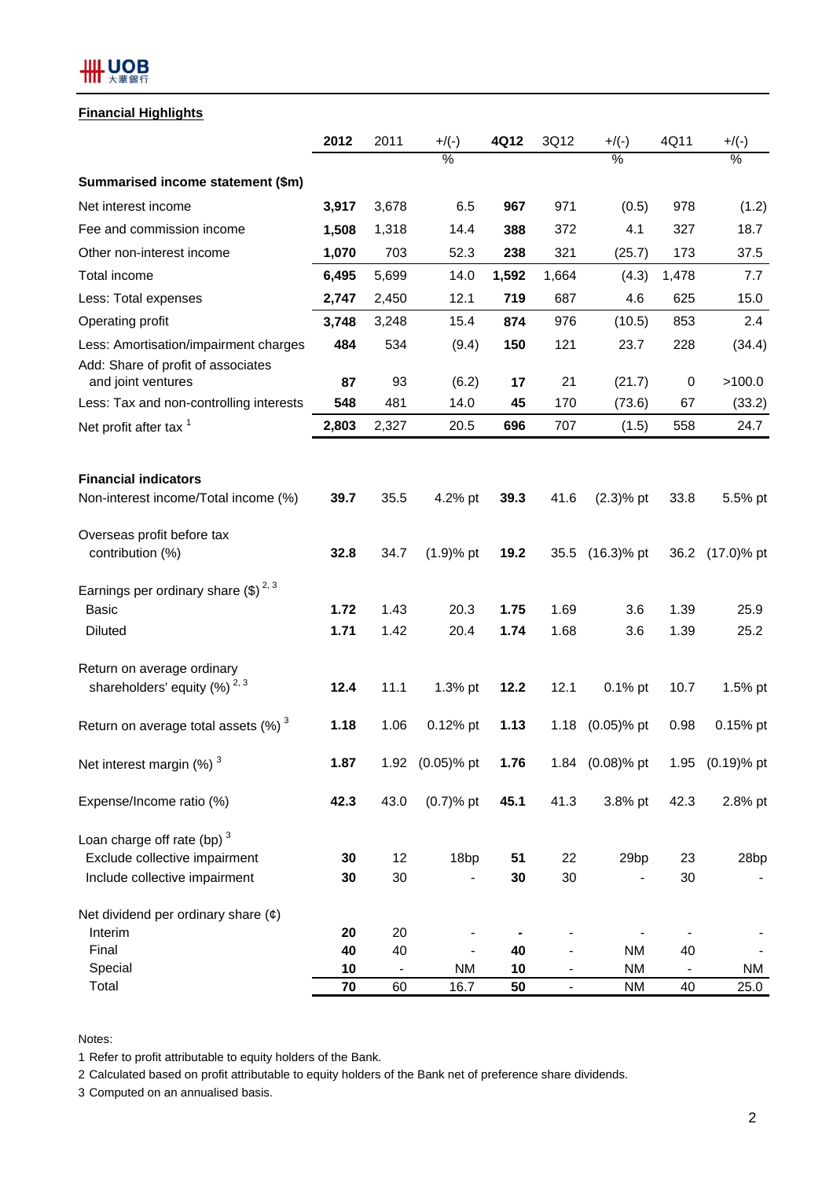# **HH UOB**

## **Financial Highlights**

|                                                          | 2012  | 2011   | $+$ /(-)         | 4Q12  | 3Q12           | $+$ /(-)        | 4Q11      | $+$ /(-)        |
|----------------------------------------------------------|-------|--------|------------------|-------|----------------|-----------------|-----------|-----------------|
|                                                          |       |        | $\%$             |       |                | $\%$            |           | $\%$            |
| Summarised income statement (\$m)                        |       |        |                  |       |                |                 |           |                 |
| Net interest income                                      | 3,917 | 3,678  | 6.5              | 967   | 971            | (0.5)           | 978       | (1.2)           |
| Fee and commission income                                | 1,508 | 1,318  | 14.4             | 388   | 372            | 4.1             | 327       | 18.7            |
| Other non-interest income                                | 1,070 | 703    | 52.3             | 238   | 321            | (25.7)          | 173       | 37.5            |
| Total income                                             | 6,495 | 5,699  | 14.0             | 1,592 | 1,664          | (4.3)           | 1,478     | 7.7             |
| Less: Total expenses                                     | 2,747 | 2,450  | 12.1             | 719   | 687            | 4.6             | 625       | 15.0            |
| Operating profit                                         | 3,748 | 3,248  | 15.4             | 874   | 976            | (10.5)          | 853       | 2.4             |
| Less: Amortisation/impairment charges                    | 484   | 534    | (9.4)            | 150   | 121            | 23.7            | 228       | (34.4)          |
| Add: Share of profit of associates<br>and joint ventures | 87    | 93     | (6.2)            | 17    | 21             | (21.7)          | $\pmb{0}$ | >100.0          |
| Less: Tax and non-controlling interests                  | 548   | 481    | 14.0             | 45    | 170            | (73.6)          | 67        | (33.2)          |
| Net profit after tax <sup>1</sup>                        | 2,803 | 2,327  | 20.5             | 696   | 707            | (1.5)           | 558       | 24.7            |
|                                                          |       |        |                  |       |                |                 |           |                 |
| <b>Financial indicators</b>                              |       |        |                  |       |                |                 |           |                 |
| Non-interest income/Total income (%)                     | 39.7  | 35.5   | 4.2% pt          | 39.3  | 41.6           | $(2.3)$ % pt    | 33.8      | 5.5% pt         |
| Overseas profit before tax                               |       |        |                  |       |                |                 |           |                 |
| contribution (%)                                         | 32.8  | 34.7   | $(1.9)$ % pt     | 19.2  | 35.5           | $(16.3)$ % pt   |           | 36.2 (17.0)% pt |
| Earnings per ordinary share $(\$)^{2,3}$                 |       |        |                  |       |                |                 |           |                 |
| Basic                                                    | 1.72  | 1.43   | 20.3             | 1.75  | 1.69           | 3.6             | 1.39      | 25.9            |
| <b>Diluted</b>                                           | 1.71  | 1.42   | 20.4             | 1.74  | 1.68           | 3.6             | 1.39      | 25.2            |
| Return on average ordinary                               |       |        |                  |       |                |                 |           |                 |
| shareholders' equity $(%)^{2,3}$                         | 12.4  | 11.1   | 1.3% pt          | 12.2  | 12.1           | $0.1\%$ pt      | 10.7      | 1.5% pt         |
| Return on average total assets $(\%)$ <sup>3</sup>       | 1.18  | 1.06   | 0.12% pt         | 1.13  | 1.18           | $(0.05)$ % pt   | 0.98      | 0.15% pt        |
| Net interest margin $(\%)$ <sup>3</sup>                  | 1.87  |        | 1.92 (0.05)% pt  | 1.76  |                | 1.84 (0.08)% pt |           | 1.95 (0.19)% pt |
| Expense/Income ratio (%)                                 | 42.3  | 43.0   | $(0.7)$ % pt     | 45.1  | 41.3           | 3.8% pt         | 42.3      | 2.8% pt         |
| Loan charge off rate (bp) $3$                            |       |        |                  |       |                |                 |           |                 |
| Exclude collective impairment                            | 30    | 12     | 18 <sub>bp</sub> | 51    | 22             | 29bp            | 23        | 28bp            |
| Include collective impairment                            | 30    | $30\,$ |                  | 30    | 30             |                 | 30        |                 |
| Net dividend per ordinary share $(\phi)$                 |       |        |                  |       |                |                 |           |                 |
| Interim                                                  | 20    | 20     |                  |       |                |                 |           |                 |
| Final                                                    | 40    | 40     |                  | 40    |                | <b>NM</b>       | 40        |                 |
| Special                                                  | 10    |        | <b>NM</b>        | 10    |                | <b>NM</b>       |           | NM              |
| Total                                                    | 70    | 60     | 16.7             | 50    | $\blacksquare$ | <b>NM</b>       | 40        | 25.0            |

Notes:

1 Refer to profit attributable to equity holders of the Bank.

2 Calculated based on profit attributable to equity holders of the Bank net of preference share dividends.

3 Computed on an annualised basis.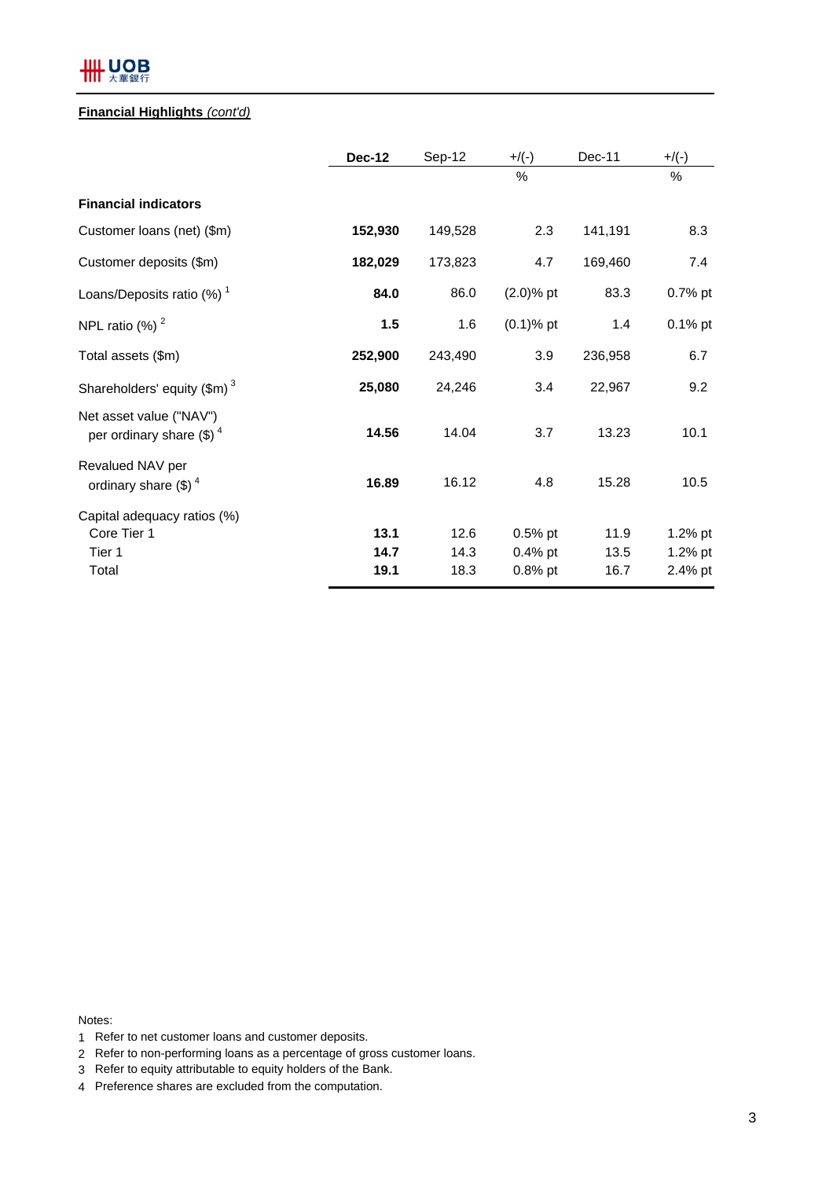# **HH UOB**

## **Financial Highlights** *(cont'd)*

|                                                               | <b>Dec-12</b> | Sep-12  | $+/(-)$      | $Dec-11$ | $+$ /(-) |
|---------------------------------------------------------------|---------------|---------|--------------|----------|----------|
|                                                               |               |         | %            |          | $\%$     |
| <b>Financial indicators</b>                                   |               |         |              |          |          |
| Customer loans (net) (\$m)                                    | 152,930       | 149,528 | 2.3          | 141,191  | 8.3      |
| Customer deposits (\$m)                                       | 182,029       | 173,823 | 4.7          | 169,460  | 7.4      |
| Loans/Deposits ratio $(\%)$ <sup>1</sup>                      | 84.0          | 86.0    | $(2.0)$ % pt | 83.3     | 0.7% pt  |
| NPL ratio $(\%)$ <sup>2</sup>                                 | 1.5           | 1.6     | $(0.1)$ % pt | 1.4      | 0.1% pt  |
| Total assets (\$m)                                            | 252,900       | 243,490 | 3.9          | 236,958  | 6.7      |
| Shareholders' equity $(\text{Im})^3$                          | 25,080        | 24,246  | 3.4          | 22,967   | 9.2      |
| Net asset value ("NAV")<br>per ordinary share $(\text{\$})^4$ | 14.56         | 14.04   | 3.7          | 13.23    | 10.1     |
| Revalued NAV per<br>ordinary share $(\text{\$})^4$            | 16.89         | 16.12   | 4.8          | 15.28    | 10.5     |
| Capital adequacy ratios (%)                                   |               |         |              |          |          |
| Core Tier 1                                                   | 13.1          | 12.6    | $0.5%$ pt    | 11.9     | 1.2% pt  |
| Tier 1                                                        | 14.7          | 14.3    | $0.4%$ pt    | 13.5     | 1.2% pt  |
| Total                                                         | 19.1          | 18.3    | $0.8%$ pt    | 16.7     | 2.4% pt  |

Notes:

- 1 Refer to net customer loans and customer deposits.
- 2 Refer to non-performing loans as a percentage of gross customer loans.
- 3 Refer to equity attributable to equity holders of the Bank.
- 4 Preference shares are excluded from the computation.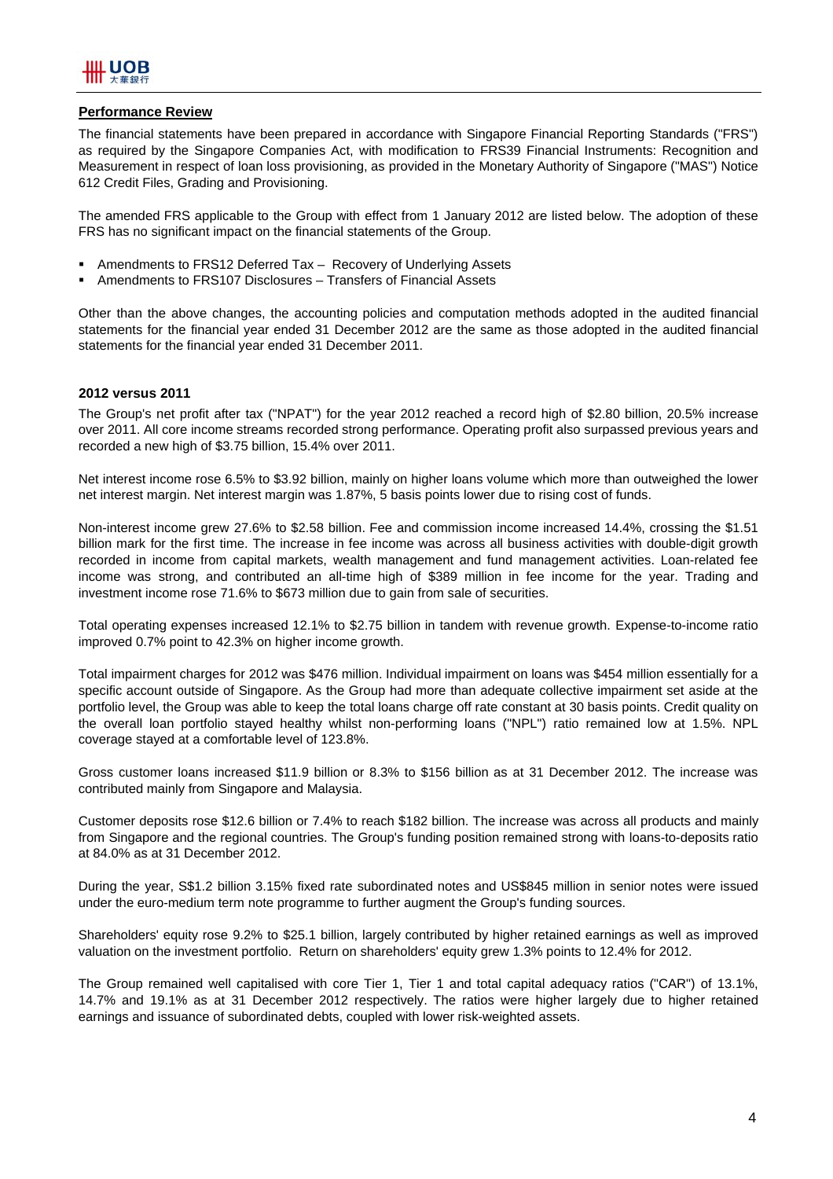

#### **Performance Review**

The financial statements have been prepared in accordance with Singapore Financial Reporting Standards ("FRS") as required by the Singapore Companies Act, with modification to FRS39 Financial Instruments: Recognition and Measurement in respect of loan loss provisioning, as provided in the Monetary Authority of Singapore ("MAS") Notice 612 Credit Files, Grading and Provisioning.

The amended FRS applicable to the Group with effect from 1 January 2012 are listed below. The adoption of these FRS has no significant impact on the financial statements of the Group.

- Amendments to FRS12 Deferred Tax Recovery of Underlying Assets
- Amendments to FRS107 Disclosures Transfers of Financial Assets

Other than the above changes, the accounting policies and computation methods adopted in the audited financial statements for the financial year ended 31 December 2012 are the same as those adopted in the audited financial statements for the financial year ended 31 December 2011.

#### **2012 versus 2011**

The Group's net profit after tax ("NPAT") for the year 2012 reached a record high of \$2.80 billion, 20.5% increase over 2011. All core income streams recorded strong performance. Operating profit also surpassed previous years and recorded a new high of \$3.75 billion, 15.4% over 2011.

Net interest income rose 6.5% to \$3.92 billion, mainly on higher loans volume which more than outweighed the lower net interest margin. Net interest margin was 1.87%, 5 basis points lower due to rising cost of funds.

Non-interest income grew 27.6% to \$2.58 billion. Fee and commission income increased 14.4%, crossing the \$1.51 billion mark for the first time. The increase in fee income was across all business activities with double-digit growth recorded in income from capital markets, wealth management and fund management activities. Loan-related fee income was strong, and contributed an all-time high of \$389 million in fee income for the year. Trading and investment income rose 71.6% to \$673 million due to gain from sale of securities.

Total operating expenses increased 12.1% to \$2.75 billion in tandem with revenue growth. Expense-to-income ratio improved 0.7% point to 42.3% on higher income growth.

Total impairment charges for 2012 was \$476 million. Individual impairment on loans was \$454 million essentially for a specific account outside of Singapore. As the Group had more than adequate collective impairment set aside at the portfolio level, the Group was able to keep the total loans charge off rate constant at 30 basis points. Credit quality on the overall loan portfolio stayed healthy whilst non-performing loans ("NPL") ratio remained low at 1.5%. NPL coverage stayed at a comfortable level of 123.8%.

Gross customer loans increased \$11.9 billion or 8.3% to \$156 billion as at 31 December 2012. The increase was contributed mainly from Singapore and Malaysia.

Customer deposits rose \$12.6 billion or 7.4% to reach \$182 billion. The increase was across all products and mainly from Singapore and the regional countries. The Group's funding position remained strong with loans-to-deposits ratio at 84.0% as at 31 December 2012.

During the year, S\$1.2 billion 3.15% fixed rate subordinated notes and US\$845 million in senior notes were issued under the euro-medium term note programme to further augment the Group's funding sources.

Shareholders' equity rose 9.2% to \$25.1 billion, largely contributed by higher retained earnings as well as improved valuation on the investment portfolio. Return on shareholders' equity grew 1.3% points to 12.4% for 2012.

The Group remained well capitalised with core Tier 1, Tier 1 and total capital adequacy ratios ("CAR") of 13.1%, 14.7% and 19.1% as at 31 December 2012 respectively. The ratios were higher largely due to higher retained earnings and issuance of subordinated debts, coupled with lower risk-weighted assets.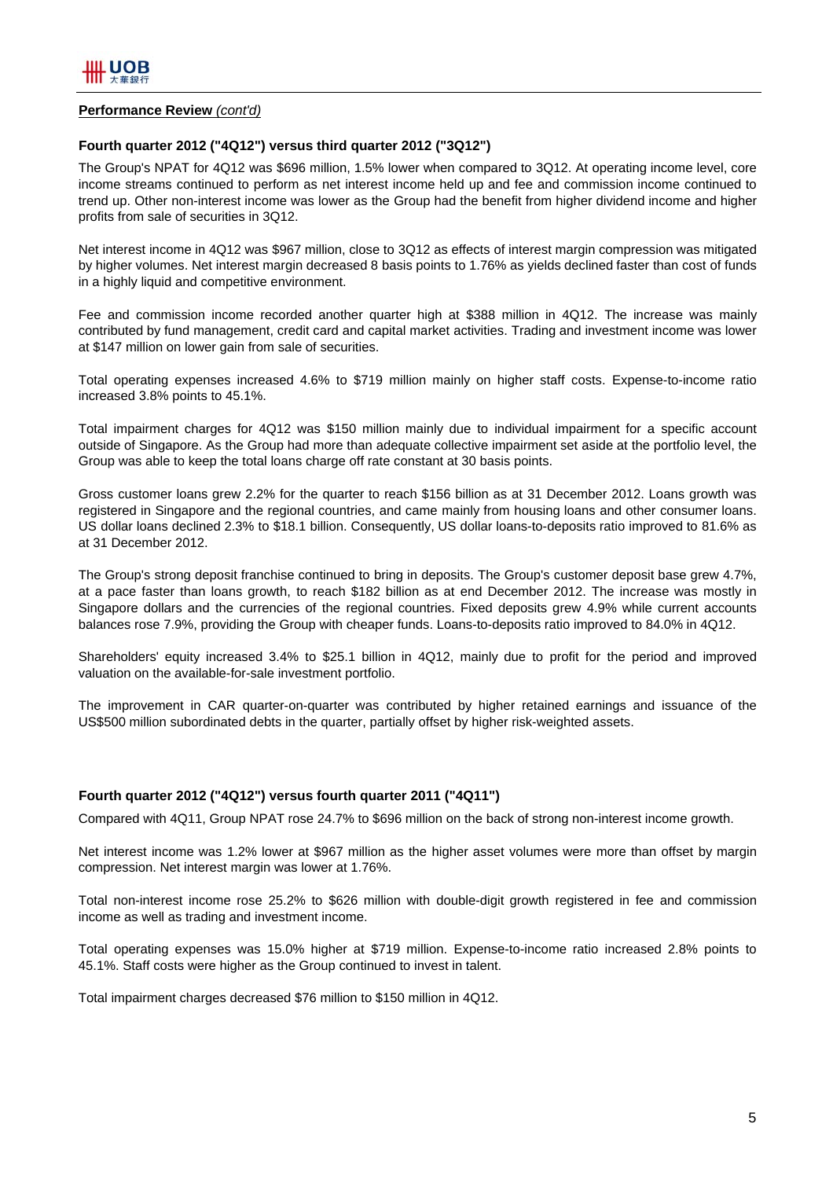#### **Performance Review** *(cont'd)*

### **Fourth quarter 2012 ("4Q12") versus third quarter 2012 ("3Q12")**

The Group's NPAT for 4Q12 was \$696 million, 1.5% lower when compared to 3Q12. At operating income level, core income streams continued to perform as net interest income held up and fee and commission income continued to trend up. Other non-interest income was lower as the Group had the benefit from higher dividend income and higher profits from sale of securities in 3Q12.

Net interest income in 4Q12 was \$967 million, close to 3Q12 as effects of interest margin compression was mitigated by higher volumes. Net interest margin decreased 8 basis points to 1.76% as yields declined faster than cost of funds in a highly liquid and competitive environment.

Fee and commission income recorded another quarter high at \$388 million in 4Q12. The increase was mainly contributed by fund management, credit card and capital market activities. Trading and investment income was lower at \$147 million on lower gain from sale of securities.

Total operating expenses increased 4.6% to \$719 million mainly on higher staff costs. Expense-to-income ratio increased 3.8% points to 45.1%.

Total impairment charges for 4Q12 was \$150 million mainly due to individual impairment for a specific account outside of Singapore. As the Group had more than adequate collective impairment set aside at the portfolio level, the Group was able to keep the total loans charge off rate constant at 30 basis points.

Gross customer loans grew 2.2% for the quarter to reach \$156 billion as at 31 December 2012. Loans growth was registered in Singapore and the regional countries, and came mainly from housing loans and other consumer loans. US dollar loans declined 2.3% to \$18.1 billion. Consequently, US dollar loans-to-deposits ratio improved to 81.6% as at 31 December 2012.

The Group's strong deposit franchise continued to bring in deposits. The Group's customer deposit base grew 4.7%, at a pace faster than loans growth, to reach \$182 billion as at end December 2012. The increase was mostly in Singapore dollars and the currencies of the regional countries. Fixed deposits grew 4.9% while current accounts balances rose 7.9%, providing the Group with cheaper funds. Loans-to-deposits ratio improved to 84.0% in 4Q12.

Shareholders' equity increased 3.4% to \$25.1 billion in 4Q12, mainly due to profit for the period and improved valuation on the available-for-sale investment portfolio.

The improvement in CAR quarter-on-quarter was contributed by higher retained earnings and issuance of the US\$500 million subordinated debts in the quarter, partially offset by higher risk-weighted assets.

#### **Fourth quarter 2012 ("4Q12") versus fourth quarter 2011 ("4Q11")**

Compared with 4Q11, Group NPAT rose 24.7% to \$696 million on the back of strong non-interest income growth.

Net interest income was 1.2% lower at \$967 million as the higher asset volumes were more than offset by margin compression. Net interest margin was lower at 1.76%.

Total non-interest income rose 25.2% to \$626 million with double-digit growth registered in fee and commission income as well as trading and investment income.

Total operating expenses was 15.0% higher at \$719 million. Expense-to-income ratio increased 2.8% points to 45.1%. Staff costs were higher as the Group continued to invest in talent.

Total impairment charges decreased \$76 million to \$150 million in 4Q12.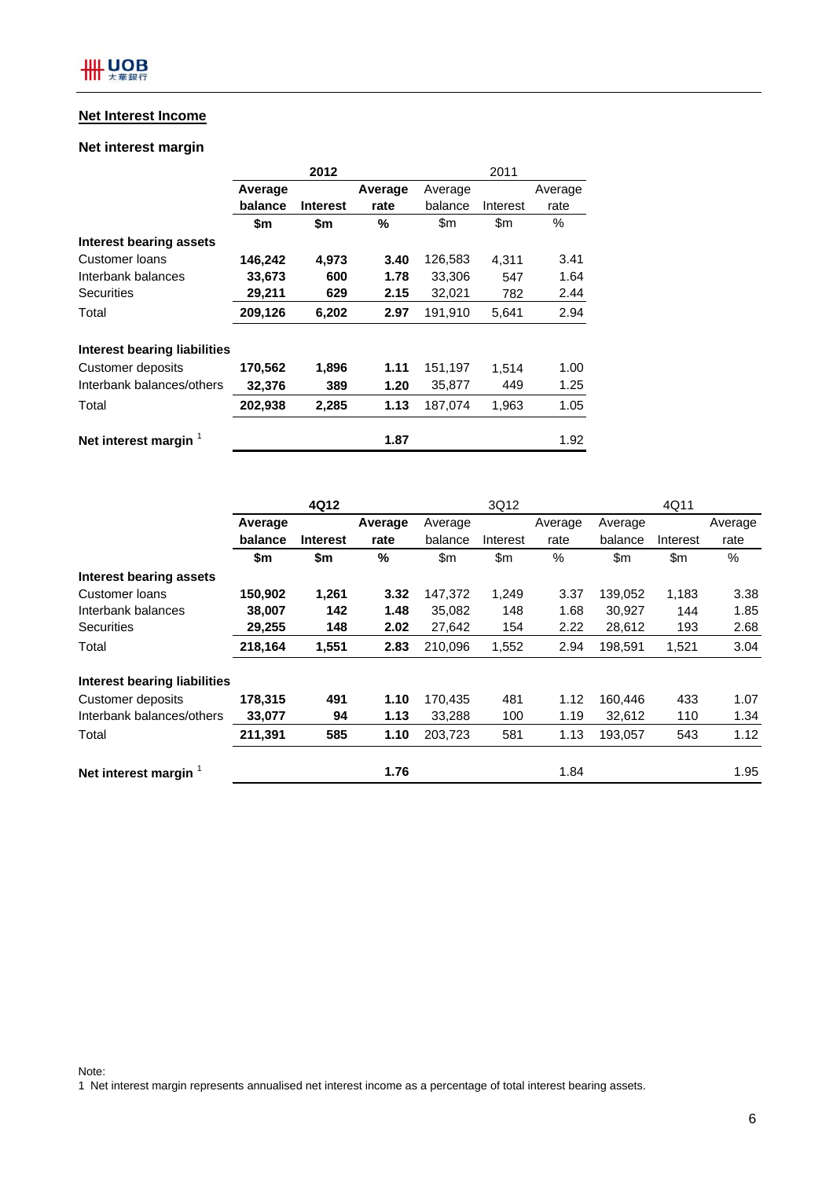# **Net Interest Income**

## **Net interest margin**

|                                     |         | 2012            |         | 2011    |          |         |  |
|-------------------------------------|---------|-----------------|---------|---------|----------|---------|--|
|                                     | Average |                 | Average | Average |          | Average |  |
|                                     | balance | <b>Interest</b> | rate    | balance | Interest | rate    |  |
|                                     | \$m     | \$m             | %       | \$m     | \$m      | $\%$    |  |
| Interest bearing assets             |         |                 |         |         |          |         |  |
| Customer Ioans                      | 146,242 | 4,973           | 3.40    | 126,583 | 4,311    | 3.41    |  |
| Interbank balances                  | 33,673  | 600             | 1.78    | 33,306  | 547      | 1.64    |  |
| Securities                          | 29,211  | 629             | 2.15    | 32,021  | 782      | 2.44    |  |
| Total                               | 209,126 | 6,202           | 2.97    | 191,910 | 5,641    | 2.94    |  |
| <b>Interest bearing liabilities</b> |         |                 |         |         |          |         |  |
| Customer deposits                   | 170,562 | 1,896           | 1.11    | 151,197 | 1,514    | 1.00    |  |
| Interbank balances/others           | 32,376  | 389             | 1.20    | 35,877  | 449      | 1.25    |  |
| Total                               | 202,938 | 2,285           | 1.13    | 187,074 | 1,963    | 1.05    |  |
| Net interest margin                 |         |                 | 1.87    |         |          | 1.92    |  |

|                                     | 4Q12    |                 |         | 3Q12    |          |         | 4Q11    |          |         |
|-------------------------------------|---------|-----------------|---------|---------|----------|---------|---------|----------|---------|
|                                     | Average |                 | Average | Average |          | Average | Average |          | Average |
|                                     | balance | <b>Interest</b> | rate    | balance | Interest | rate    | balance | Interest | rate    |
|                                     | \$m     | \$m             | %       | \$m\$   | \$m      | %       | \$m     | \$m      | %       |
| <b>Interest bearing assets</b>      |         |                 |         |         |          |         |         |          |         |
| Customer loans                      | 150,902 | 1,261           | 3.32    | 147,372 | 1,249    | 3.37    | 139,052 | 1,183    | 3.38    |
| Interbank balances                  | 38,007  | 142             | 1.48    | 35,082  | 148      | 1.68    | 30,927  | 144      | 1.85    |
| <b>Securities</b>                   | 29,255  | 148             | 2.02    | 27,642  | 154      | 2.22    | 28,612  | 193      | 2.68    |
| Total                               | 218,164 | 1,551           | 2.83    | 210,096 | 1,552    | 2.94    | 198,591 | 1,521    | 3.04    |
| <b>Interest bearing liabilities</b> |         |                 |         |         |          |         |         |          |         |
| Customer deposits                   | 178,315 | 491             | 1.10    | 170,435 | 481      | 1.12    | 160,446 | 433      | 1.07    |
| Interbank balances/others           | 33,077  | 94              | 1.13    | 33,288  | 100      | 1.19    | 32,612  | 110      | 1.34    |
| Total                               | 211,391 | 585             | 1.10    | 203,723 | 581      | 1.13    | 193,057 | 543      | 1.12    |
| Net interest margin                 |         |                 | 1.76    |         |          | 1.84    |         |          | 1.95    |

Note:

1 Net interest margin represents annualised net interest income as a percentage of total interest bearing assets.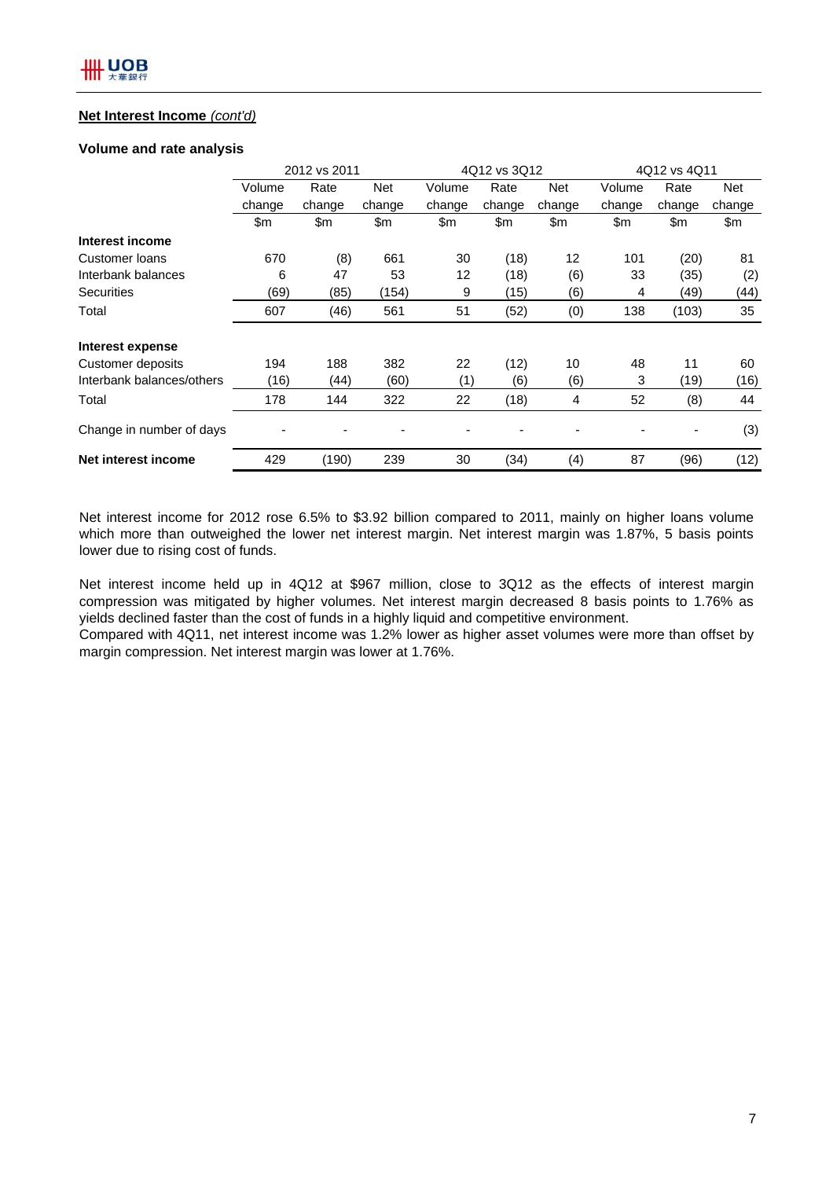## **Net Interest Income** *(cont'd)*

### **Volume and rate analysis**

|                           | 2012 vs 2011 |        |            |        | 4Q12 vs 3Q12 |                | 4Q12 vs 4Q11 |        |        |
|---------------------------|--------------|--------|------------|--------|--------------|----------------|--------------|--------|--------|
|                           | Volume       | Rate   | <b>Net</b> | Volume | Rate         | <b>Net</b>     | Volume       | Rate   | Net    |
|                           | change       | change | change     | change | change       | change         | change       | change | change |
|                           | \$m          | \$m    | \$m        | \$m    | \$m          | \$m            | \$m          | \$m    | \$m    |
| Interest income           |              |        |            |        |              |                |              |        |        |
| Customer Ioans            | 670          | (8)    | 661        | 30     | (18)         | 12             | 101          | (20)   | 81     |
| Interbank balances        | 6            | 47     | 53         | 12     | (18)         | (6)            | 33           | (35)   | (2)    |
| <b>Securities</b>         | (69)         | (85)   | (154)      | 9      | (15)         | (6)            | 4            | (49)   | (44)   |
| Total                     | 607          | (46)   | 561        | 51     | (52)         | (0)            | 138          | (103)  | 35     |
| Interest expense          |              |        |            |        |              |                |              |        |        |
| <b>Customer deposits</b>  | 194          | 188    | 382        | 22     | (12)         | 10             | 48           | 11     | 60     |
| Interbank balances/others | (16)         | (44)   | (60)       | (1)    | (6)          | (6)            | 3            | (19)   | (16)   |
| Total                     | 178          | 144    | 322        | 22     | (18)         | $\overline{4}$ | 52           | (8)    | 44     |
| Change in number of days  |              |        |            |        |              |                |              |        | (3)    |
| Net interest income       | 429          | (190)  | 239        | 30     | (34)         | (4)            | 87           | (96)   | (12)   |

Net interest income for 2012 rose 6.5% to \$3.92 billion compared to 2011, mainly on higher loans volume which more than outweighed the lower net interest margin. Net interest margin was 1.87%, 5 basis points lower due to rising cost of funds.

Net interest income held up in 4Q12 at \$967 million, close to 3Q12 as the effects of interest margin compression was mitigated by higher volumes. Net interest margin decreased 8 basis points to 1.76% as yields declined faster than the cost of funds in a highly liquid and competitive environment.

Compared with 4Q11, net interest income was 1.2% lower as higher asset volumes were more than offset by margin compression. Net interest margin was lower at 1.76%.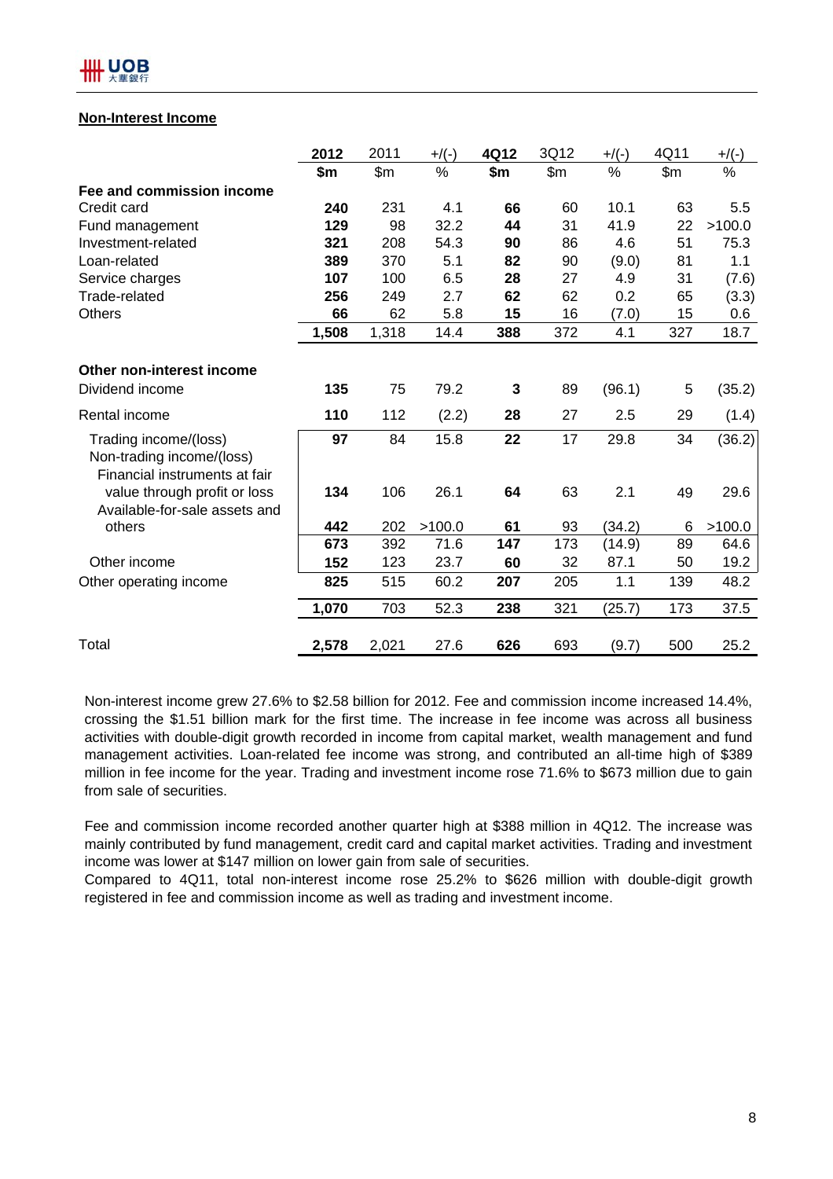## **Non-Interest Income**

|                                                                                     | 2012  | 2011  | $+$ /(-) | 4Q12 | 3Q12  | $+$ /(-) | 4Q11  | $+$ /(-) |
|-------------------------------------------------------------------------------------|-------|-------|----------|------|-------|----------|-------|----------|
|                                                                                     | \$m   | \$m\$ | %        | \$m  | \$m\$ | $\%$     | \$m\$ | %        |
| Fee and commission income                                                           |       |       |          |      |       |          |       |          |
| Credit card                                                                         | 240   | 231   | 4.1      | 66   | 60    | 10.1     | 63    | 5.5      |
| Fund management                                                                     | 129   | 98    | 32.2     | 44   | 31    | 41.9     | 22    | >100.0   |
| Investment-related                                                                  | 321   | 208   | 54.3     | 90   | 86    | 4.6      | 51    | 75.3     |
| Loan-related                                                                        | 389   | 370   | 5.1      | 82   | 90    | (9.0)    | 81    | 1.1      |
| Service charges                                                                     | 107   | 100   | 6.5      | 28   | 27    | 4.9      | 31    | (7.6)    |
| Trade-related                                                                       | 256   | 249   | 2.7      | 62   | 62    | 0.2      | 65    | (3.3)    |
| <b>Others</b>                                                                       | 66    | 62    | 5.8      | 15   | 16    | (7.0)    | 15    | 0.6      |
|                                                                                     | 1,508 | 1,318 | 14.4     | 388  | 372   | 4.1      | 327   | 18.7     |
| Other non-interest income<br>Dividend income                                        | 135   | 75    | 79.2     | 3    | 89    | (96.1)   | 5     | (35.2)   |
| Rental income                                                                       | 110   | 112   | (2.2)    | 28   | 27    | 2.5      | 29    | (1.4)    |
| Trading income/(loss)<br>Non-trading income/(loss)<br>Financial instruments at fair | 97    | 84    | 15.8     | 22   | 17    | 29.8     | 34    | (36.2)   |
| value through profit or loss<br>Available-for-sale assets and                       | 134   | 106   | 26.1     | 64   | 63    | 2.1      | 49    | 29.6     |
| others                                                                              | 442   | 202   | >100.0   | 61   | 93    | (34.2)   | 6     | >100.0   |
|                                                                                     | 673   | 392   | 71.6     | 147  | 173   | (14.9)   | 89    | 64.6     |
| Other income                                                                        | 152   | 123   | 23.7     | 60   | 32    | 87.1     | 50    | 19.2     |
| Other operating income                                                              | 825   | 515   | 60.2     | 207  | 205   | 1.1      | 139   | 48.2     |
|                                                                                     | 1,070 | 703   | 52.3     | 238  | 321   | (25.7)   | 173   | 37.5     |
| Total                                                                               | 2,578 | 2,021 | 27.6     | 626  | 693   | (9.7)    | 500   | 25.2     |

Non-interest income grew 27.6% to \$2.58 billion for 2012. Fee and commission income increased 14.4%, crossing the \$1.51 billion mark for the first time. The increase in fee income was across all business activities with double-digit growth recorded in income from capital market, wealth management and fund management activities. Loan-related fee income was strong, and contributed an all-time high of \$389 million in fee income for the year. Trading and investment income rose 71.6% to \$673 million due to gain from sale of securities.

Fee and commission income recorded another quarter high at \$388 million in 4Q12. The increase was mainly contributed by fund management, credit card and capital market activities. Trading and investment income was lower at \$147 million on lower gain from sale of securities.

Compared to 4Q11, total non-interest income rose 25.2% to \$626 million with double-digit growth registered in fee and commission income as well as trading and investment income.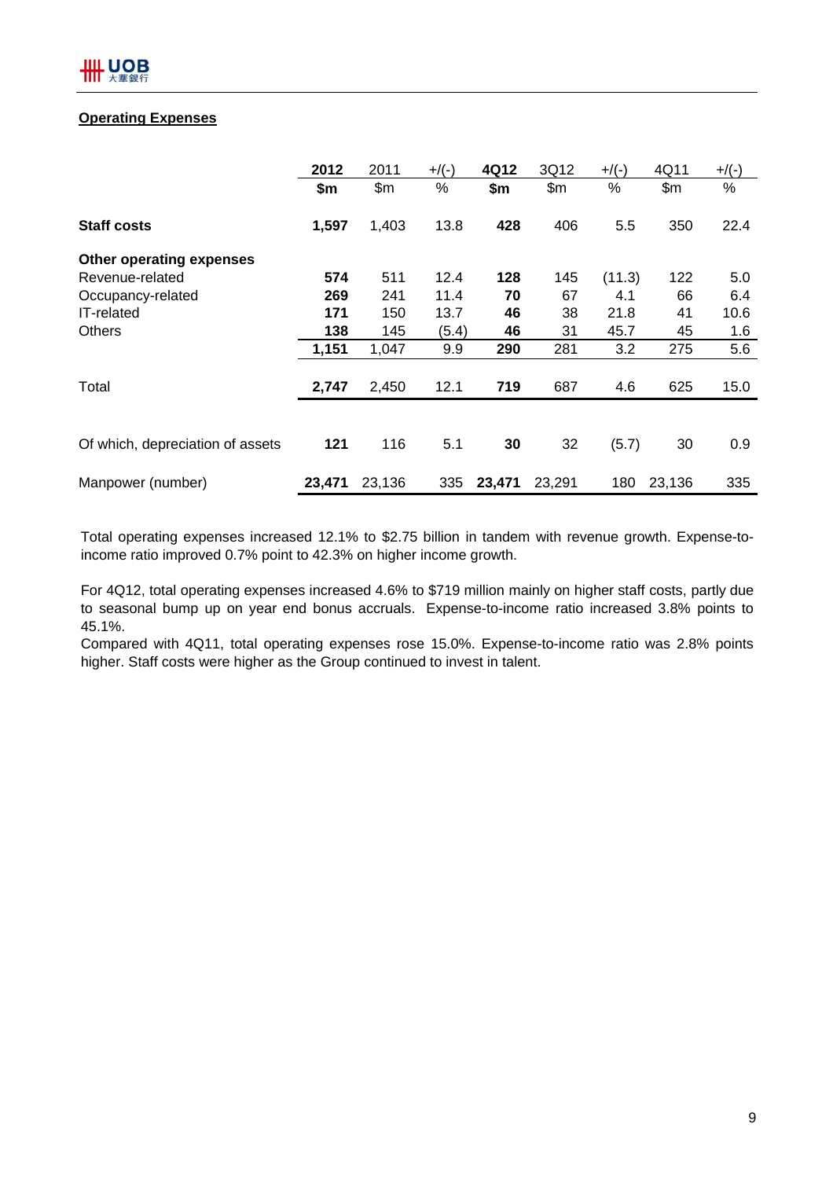# **Operating Expenses**

|                                  | 2012   | 2011   | $+$ /(-) | 4Q12   | 3Q12   | $+$ /(-) | 4Q11   | $+$ /(-) |
|----------------------------------|--------|--------|----------|--------|--------|----------|--------|----------|
|                                  | \$m    | \$m\$  | %        | \$m    | \$m\$  | %        | \$m\$  | %        |
| <b>Staff costs</b>               | 1,597  | 1,403  | 13.8     | 428    | 406    | 5.5      | 350    | 22.4     |
| Other operating expenses         |        |        |          |        |        |          |        |          |
| Revenue-related                  | 574    | 511    | 12.4     | 128    | 145    | (11.3)   | 122    | 5.0      |
| Occupancy-related                | 269    | 241    | 11.4     | 70     | 67     | 4.1      | 66     | 6.4      |
| <b>IT-related</b>                | 171    | 150    | 13.7     | 46     | 38     | 21.8     | 41     | 10.6     |
| <b>Others</b>                    | 138    | 145    | (5.4)    | 46     | 31     | 45.7     | 45     | 1.6      |
|                                  | 1,151  | 1,047  | 9.9      | 290    | 281    | 3.2      | 275    | 5.6      |
| Total                            | 2,747  | 2,450  | 12.1     | 719    | 687    | 4.6      | 625    | 15.0     |
|                                  |        |        |          |        |        |          |        |          |
| Of which, depreciation of assets | 121    | 116    | 5.1      | 30     | 32     | (5.7)    | 30     | 0.9      |
| Manpower (number)                | 23,471 | 23,136 | 335      | 23,471 | 23,291 | 180      | 23,136 | 335      |

Total operating expenses increased 12.1% to \$2.75 billion in tandem with revenue growth. Expense-toincome ratio improved 0.7% point to 42.3% on higher income growth.

For 4Q12, total operating expenses increased 4.6% to \$719 million mainly on higher staff costs, partly due to seasonal bump up on year end bonus accruals. Expense-to-income ratio increased 3.8% points to 45.1%.

Compared with 4Q11, total operating expenses rose 15.0%. Expense-to-income ratio was 2.8% points higher. Staff costs were higher as the Group continued to invest in talent.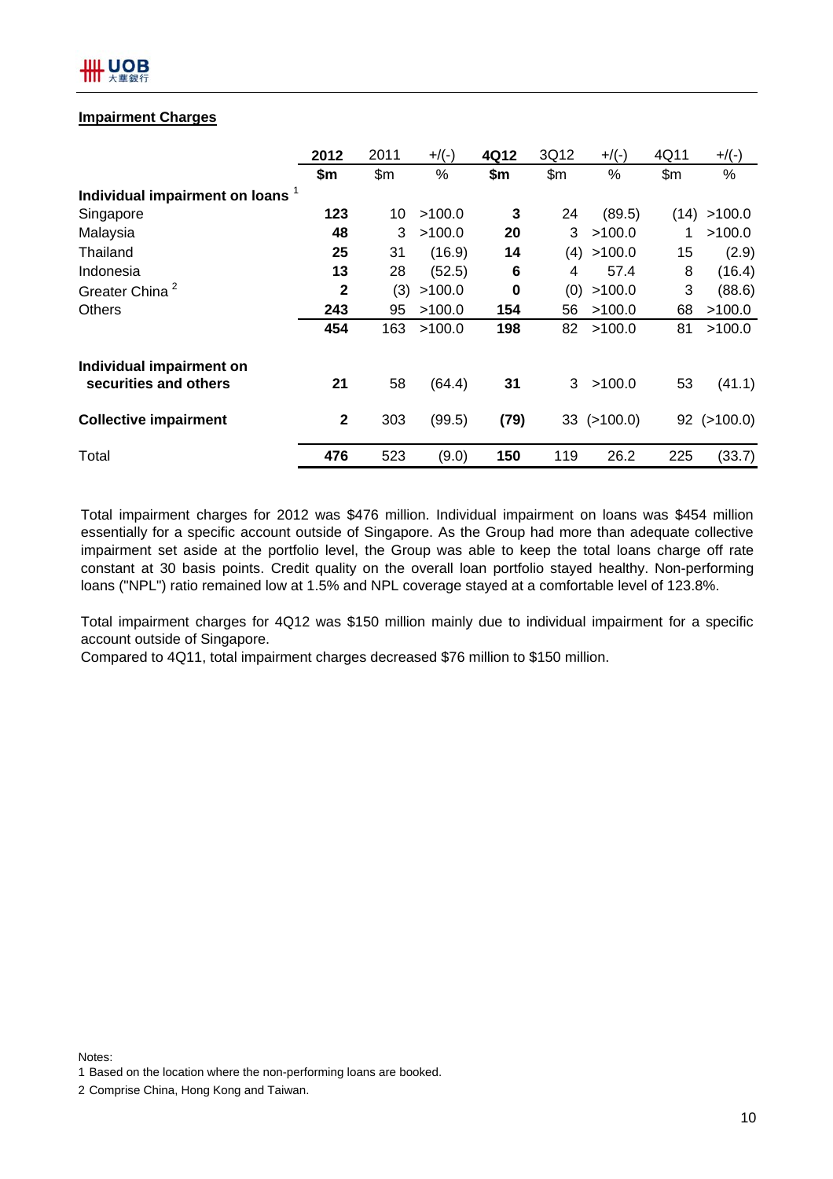# IIII UOB

## **Impairment Charges**

|                                | 2012         | 2011  | $+$ /(-)      | 4Q12 | 3Q12  | $+$ /(-)          | 4Q11  | $+$ /(-)   |
|--------------------------------|--------------|-------|---------------|------|-------|-------------------|-------|------------|
|                                | \$m\$        | \$m\$ | $\frac{0}{0}$ | \$m  | \$m\$ | %                 | \$m\$ | %          |
| Individual impairment on loans |              |       |               |      |       |                   |       |            |
| Singapore                      | 123          | 10    | >100.0        | 3    | 24    | (89.5)            | (14)  | >100.0     |
| Malaysia                       | 48           | 3     | >100.0        | 20   | 3     | >100.0            | 1     | >100.0     |
| Thailand                       | 25           | 31    | (16.9)        | 14   | (4)   | >100.0            | 15    | (2.9)      |
| Indonesia                      | 13           | 28    | (52.5)        | 6    | 4     | 57.4              | 8     | (16.4)     |
| Greater China <sup>2</sup>     | $\mathbf{2}$ | (3)   | >100.0        | 0    | (0)   | >100.0            | 3     | (88.6)     |
| <b>Others</b>                  | 243          | 95    | >100.0        | 154  | 56    | >100.0            | 68    | >100.0     |
|                                | 454          | 163   | >100.0        | 198  | 82    | >100.0            | 81    | >100.0     |
| Individual impairment on       |              |       |               |      |       |                   |       |            |
| securities and others          | 21           | 58    | (64.4)        | 31   | 3     | >100.0            | 53    | (41.1)     |
| <b>Collective impairment</b>   | $\mathbf{2}$ | 303   | (99.5)        | (79) |       | $33$ ( $>100.0$ ) | 92    | ( > 100.0) |
| Total                          | 476          | 523   | (9.0)         | 150  | 119   | 26.2              | 225   | (33.7)     |

Total impairment charges for 2012 was \$476 million. Individual impairment on loans was \$454 million essentially for a specific account outside of Singapore. As the Group had more than adequate collective impairment set aside at the portfolio level, the Group was able to keep the total loans charge off rate constant at 30 basis points. Credit quality on the overall loan portfolio stayed healthy. Non-performing loans ("NPL") ratio remained low at 1.5% and NPL coverage stayed at a comfortable level of 123.8%.

Total impairment charges for 4Q12 was \$150 million mainly due to individual impairment for a specific account outside of Singapore.

Compared to 4Q11, total impairment charges decreased \$76 million to \$150 million.

<sup>2</sup> Comprise China, Hong Kong and Taiwan.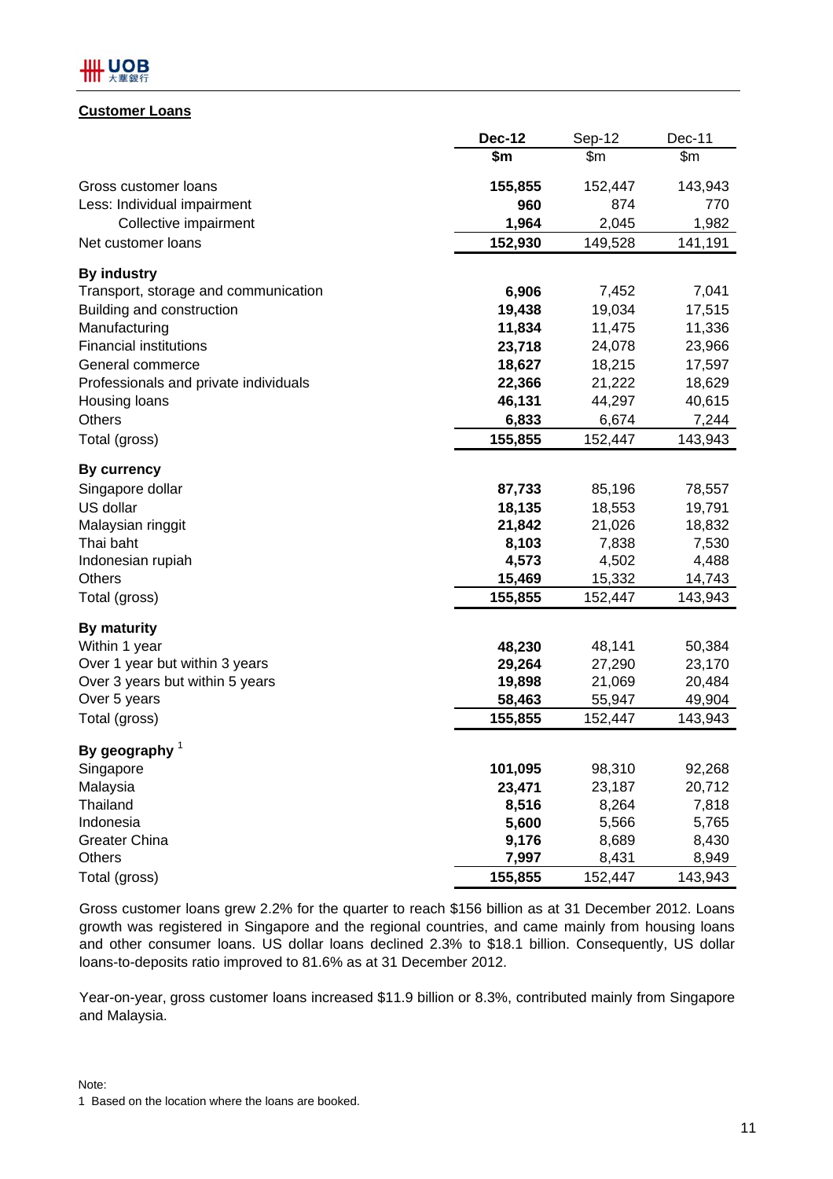# IIII UOB

## **Customer Loans**

|                                       | <b>Dec-12</b> | Sep-12  | Dec-11  |
|---------------------------------------|---------------|---------|---------|
|                                       | \$m           | \$m     | \$m\$   |
| Gross customer loans                  | 155,855       | 152,447 | 143,943 |
| Less: Individual impairment           | 960           | 874     | 770     |
| Collective impairment                 | 1,964         | 2,045   | 1,982   |
| Net customer loans                    | 152,930       | 149,528 | 141,191 |
| <b>By industry</b>                    |               |         |         |
| Transport, storage and communication  | 6,906         | 7,452   | 7,041   |
| Building and construction             | 19,438        | 19,034  | 17,515  |
| Manufacturing                         | 11,834        | 11,475  | 11,336  |
| <b>Financial institutions</b>         | 23,718        | 24,078  | 23,966  |
| General commerce                      | 18,627        | 18,215  | 17,597  |
| Professionals and private individuals | 22,366        | 21,222  | 18,629  |
| Housing loans                         | 46,131        | 44,297  | 40,615  |
| <b>Others</b>                         | 6,833         | 6,674   | 7,244   |
| Total (gross)                         | 155,855       | 152,447 | 143,943 |
| <b>By currency</b>                    |               |         |         |
| Singapore dollar                      | 87,733        | 85,196  | 78,557  |
| US dollar                             | 18,135        | 18,553  | 19,791  |
| Malaysian ringgit                     | 21,842        | 21,026  | 18,832  |
| Thai baht                             | 8,103         | 7,838   | 7,530   |
| Indonesian rupiah                     | 4,573         | 4,502   | 4,488   |
| <b>Others</b>                         | 15,469        | 15,332  | 14,743  |
| Total (gross)                         | 155,855       | 152,447 | 143,943 |
| <b>By maturity</b>                    |               |         |         |
| Within 1 year                         | 48,230        | 48,141  | 50,384  |
| Over 1 year but within 3 years        | 29,264        | 27,290  | 23,170  |
| Over 3 years but within 5 years       | 19,898        | 21,069  | 20,484  |
| Over 5 years                          | 58,463        | 55,947  | 49,904  |
| Total (gross)                         | 155,855       | 152,447 | 143,943 |
| By geography $1$                      |               |         |         |
| Singapore                             | 101,095       | 98,310  | 92,268  |
| Malaysia                              | 23,471        | 23,187  | 20,712  |
| Thailand                              | 8,516         | 8,264   | 7,818   |
| Indonesia                             | 5,600         | 5,566   | 5,765   |
| <b>Greater China</b>                  | 9,176         | 8,689   | 8,430   |
| Others                                | 7,997         | 8,431   | 8,949   |
| Total (gross)                         | 155,855       | 152,447 | 143,943 |

Gross customer loans grew 2.2% for the quarter to reach \$156 billion as at 31 December 2012. Loans growth was registered in Singapore and the regional countries, and came mainly from housing loans and other consumer loans. US dollar loans declined 2.3% to \$18.1 billion. Consequently, US dollar loans-to-deposits ratio improved to 81.6% as at 31 December 2012.

Year-on-year, gross customer loans increased \$11.9 billion or 8.3%, contributed mainly from Singapore and Malaysia.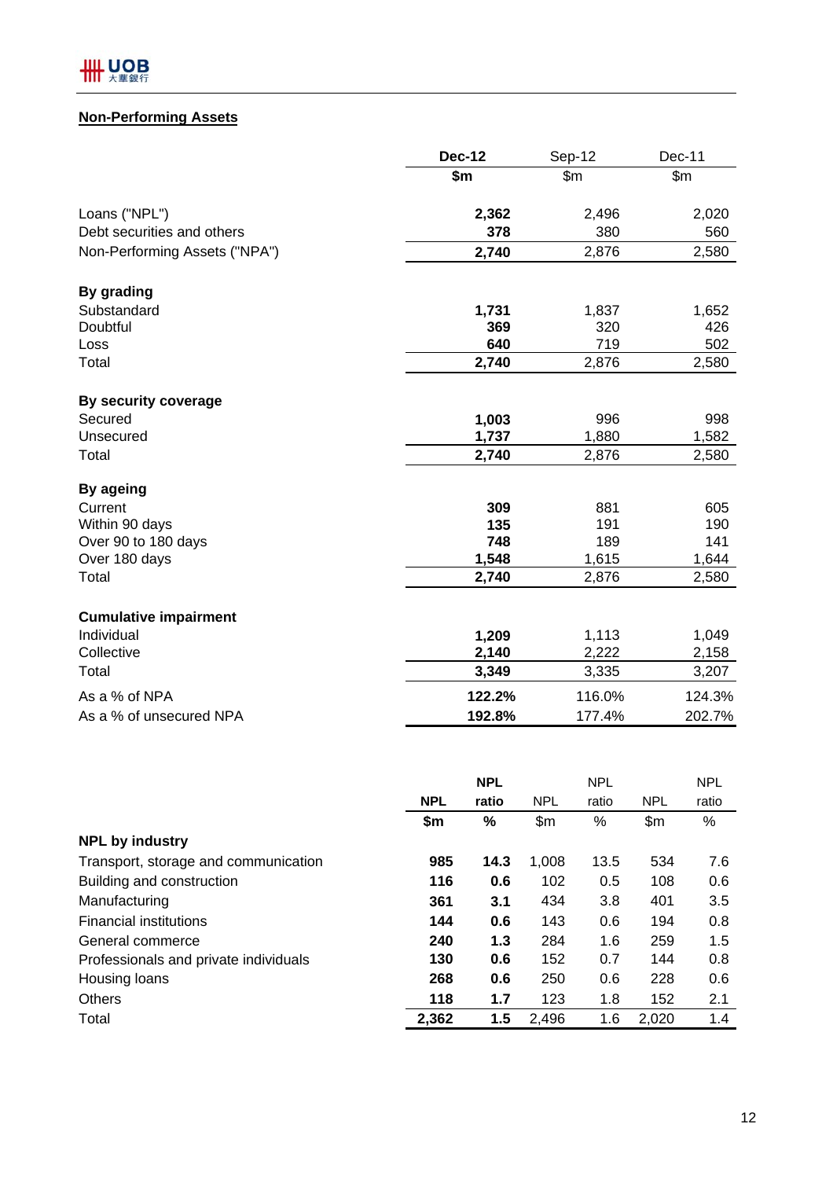# **Non-Performing Assets**

|                               | <b>Dec-12</b> | Sep-12 | Dec-11 |
|-------------------------------|---------------|--------|--------|
|                               | \$m\$         | \$m\$  | \$m\$  |
| Loans ("NPL")                 | 2,362         | 2,496  | 2,020  |
| Debt securities and others    | 378           | 380    | 560    |
| Non-Performing Assets ("NPA") | 2,740         | 2,876  | 2,580  |
| By grading                    |               |        |        |
| Substandard                   | 1,731         | 1,837  | 1,652  |
| Doubtful                      | 369           | 320    | 426    |
| Loss                          | 640           | 719    | 502    |
| Total                         | 2,740         | 2,876  | 2,580  |
| By security coverage          |               |        |        |
| Secured                       | 1,003         | 996    | 998    |
| Unsecured                     | 1,737         | 1,880  | 1,582  |
| Total                         | 2,740         | 2,876  | 2,580  |
| By ageing                     |               |        |        |
| Current                       | 309           | 881    | 605    |
| Within 90 days                | 135           | 191    | 190    |
| Over 90 to 180 days           | 748           | 189    | 141    |
| Over 180 days                 | 1,548         | 1,615  | 1,644  |
| Total                         | 2,740         | 2,876  | 2,580  |
| <b>Cumulative impairment</b>  |               |        |        |
| Individual                    | 1,209         | 1,113  | 1,049  |
| Collective                    | 2,140         | 2,222  | 2,158  |
| Total                         | 3,349         | 3,335  | 3,207  |
| As a % of NPA                 | 122.2%        | 116.0% | 124.3% |
| As a % of unsecured NPA       | 192.8%        | 177.4% | 202.7% |
|                               |               |        |        |

|                                       |            | <b>NPL</b> |            | <b>NPL</b> |            | <b>NPL</b> |
|---------------------------------------|------------|------------|------------|------------|------------|------------|
|                                       | <b>NPL</b> | ratio      | <b>NPL</b> | ratio      | <b>NPL</b> | ratio      |
|                                       | \$m        | $\%$       | \$m\$      | %          | \$m\$      | %          |
| <b>NPL by industry</b>                |            |            |            |            |            |            |
| Transport, storage and communication  | 985        | 14.3       | 1,008      | 13.5       | 534        | 7.6        |
| Building and construction             | 116        | 0.6        | 102        | 0.5        | 108        | 0.6        |
| Manufacturing                         | 361        | 3.1        | 434        | 3.8        | 401        | 3.5        |
| <b>Financial institutions</b>         | 144        | 0.6        | 143        | 0.6        | 194        | 0.8        |
| General commerce                      | 240        | 1.3        | 284        | 1.6        | 259        | 1.5        |
| Professionals and private individuals | 130        | 0.6        | 152        | 0.7        | 144        | 0.8        |
| Housing loans                         | 268        | 0.6        | 250        | 0.6        | 228        | 0.6        |
| <b>Others</b>                         | 118        | 1.7        | 123        | 1.8        | 152        | 2.1        |
| Total                                 | 2,362      | 1.5        | 2,496      | 1.6        | 2,020      | 1.4        |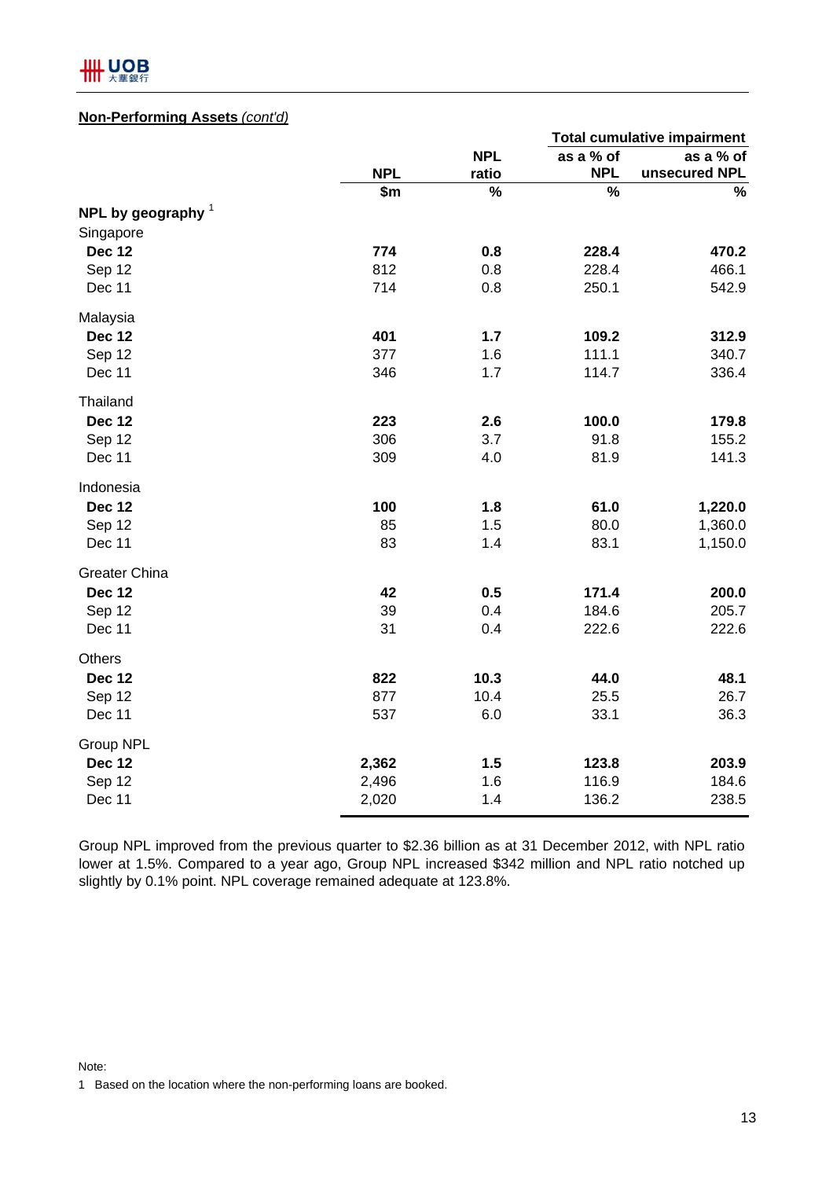

### **Non-Performing Assets** *(cont'd)*

|                      |            |            |            | <b>Total cumulative impairment</b> |  |
|----------------------|------------|------------|------------|------------------------------------|--|
|                      |            | <b>NPL</b> | as a % of  | as a % of                          |  |
|                      | <b>NPL</b> | ratio      | <b>NPL</b> | unsecured NPL                      |  |
|                      | \$m        | %          | %          | %                                  |  |
| NPL by geography $1$ |            |            |            |                                    |  |
| Singapore            |            |            |            |                                    |  |
| <b>Dec 12</b>        | 774        | 0.8        | 228.4      | 470.2                              |  |
| Sep 12               | 812        | 0.8        | 228.4      | 466.1                              |  |
| Dec 11               | 714        | 0.8        | 250.1      | 542.9                              |  |
| Malaysia             |            |            |            |                                    |  |
| <b>Dec 12</b>        | 401        | $1.7$      | 109.2      | 312.9                              |  |
| Sep 12               | 377        | 1.6        | 111.1      | 340.7                              |  |
| Dec 11               | 346        | 1.7        | 114.7      | 336.4                              |  |
| Thailand             |            |            |            |                                    |  |
| <b>Dec 12</b>        | 223        | 2.6        | 100.0      | 179.8                              |  |
| Sep 12               | 306        | 3.7        | 91.8       | 155.2                              |  |
| Dec 11               | 309        | 4.0        | 81.9       | 141.3                              |  |
| Indonesia            |            |            |            |                                    |  |
| <b>Dec 12</b>        | 100        | 1.8        | 61.0       | 1,220.0                            |  |
| Sep 12               | 85         | 1.5        | 80.0       | 1,360.0                            |  |
| Dec 11               | 83         | 1.4        | 83.1       | 1,150.0                            |  |
| <b>Greater China</b> |            |            |            |                                    |  |
| <b>Dec 12</b>        | 42         | 0.5        | 171.4      | 200.0                              |  |
| Sep 12               | 39         | 0.4        | 184.6      | 205.7                              |  |
| Dec 11               | 31         | 0.4        | 222.6      | 222.6                              |  |
| <b>Others</b>        |            |            |            |                                    |  |
| <b>Dec 12</b>        | 822        | 10.3       | 44.0       | 48.1                               |  |
| Sep 12               | 877        | 10.4       | 25.5       | 26.7                               |  |
| Dec 11               | 537        | 6.0        | 33.1       | 36.3                               |  |
| Group NPL            |            |            |            |                                    |  |
| <b>Dec 12</b>        | 2,362      | 1.5        | 123.8      | 203.9                              |  |
| Sep 12               | 2,496      | 1.6        | 116.9      | 184.6                              |  |
| Dec 11               | 2,020      | 1.4        | 136.2      | 238.5                              |  |

Group NPL improved from the previous quarter to \$2.36 billion as at 31 December 2012, with NPL ratio lower at 1.5%. Compared to a year ago, Group NPL increased \$342 million and NPL ratio notched up slightly by 0.1% point. NPL coverage remained adequate at 123.8%.

Note:

1 Based on the location where the non-performing loans are booked.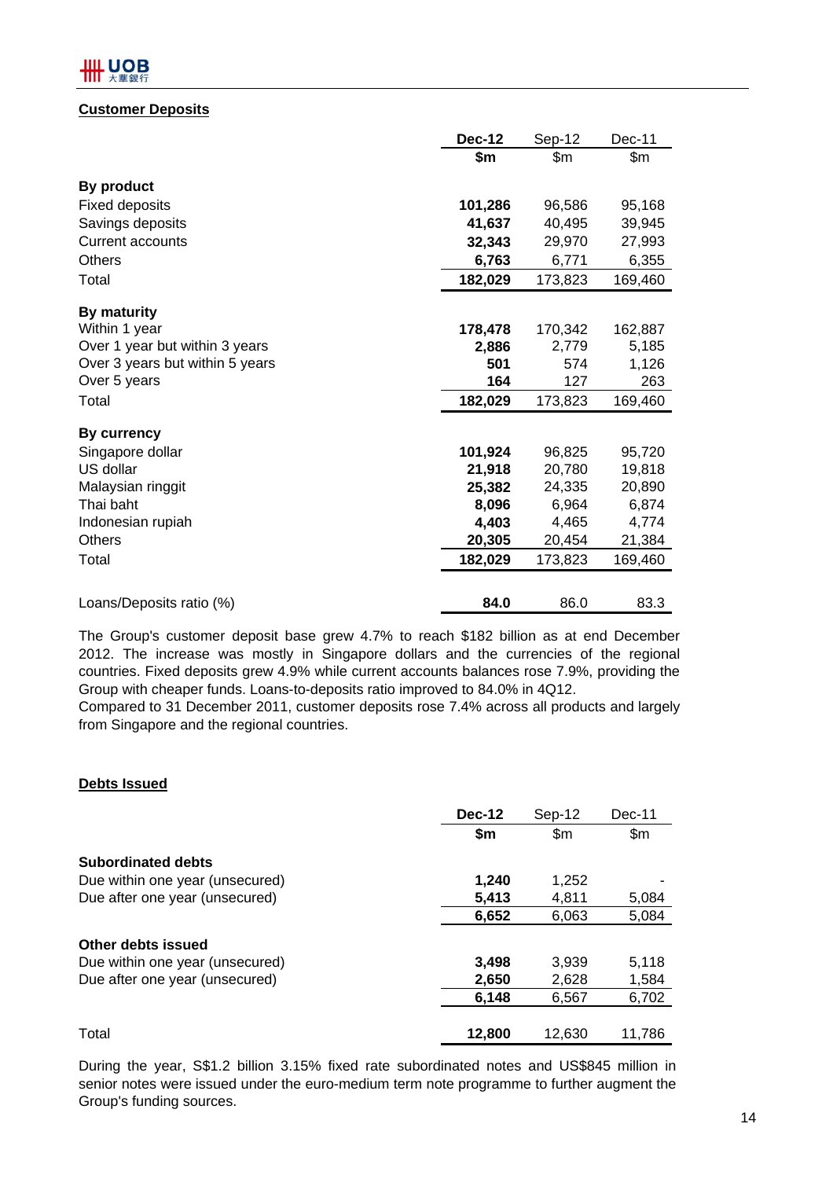# III UOB

## **Customer Deposits**

|                                 | <b>Dec-12</b> | Sep-12  | Dec-11  |
|---------------------------------|---------------|---------|---------|
|                                 | \$m           | \$m     | \$m     |
| By product                      |               |         |         |
| <b>Fixed deposits</b>           | 101,286       | 96,586  | 95,168  |
| Savings deposits                | 41,637        | 40,495  | 39,945  |
| <b>Current accounts</b>         | 32,343        | 29,970  | 27,993  |
| <b>Others</b>                   | 6,763         | 6,771   | 6,355   |
| Total                           | 182,029       | 173,823 | 169,460 |
| <b>By maturity</b>              |               |         |         |
| Within 1 year                   | 178,478       | 170,342 | 162,887 |
| Over 1 year but within 3 years  | 2,886         | 2,779   | 5,185   |
| Over 3 years but within 5 years | 501           | 574     | 1,126   |
| Over 5 years                    | 164           | 127     | 263     |
| Total                           | 182,029       | 173,823 | 169,460 |
| <b>By currency</b>              |               |         |         |
| Singapore dollar                | 101,924       | 96,825  | 95,720  |
| US dollar                       | 21,918        | 20,780  | 19,818  |
| Malaysian ringgit               | 25,382        | 24,335  | 20,890  |
| Thai baht                       | 8,096         | 6,964   | 6,874   |
| Indonesian rupiah               | 4,403         | 4,465   | 4,774   |
| <b>Others</b>                   | 20,305        | 20,454  | 21,384  |
| Total                           | 182,029       | 173,823 | 169,460 |
| Loans/Deposits ratio (%)        | 84.0          | 86.0    | 83.3    |

The Group's customer deposit base grew 4.7% to reach \$182 billion as at end December 2012. The increase was mostly in Singapore dollars and the currencies of the regional countries. Fixed deposits grew 4.9% while current accounts balances rose 7.9%, providing the Group with cheaper funds. Loans-to-deposits ratio improved to 84.0% in 4Q12.

Compared to 31 December 2011, customer deposits rose 7.4% across all products and largely from Singapore and the regional countries.

## **Debts Issued**

|                                 | <b>Dec-12</b> | Sep-12         | Dec-11        |
|---------------------------------|---------------|----------------|---------------|
|                                 | \$m           | $\mathsf{S}$ m | $\mathsf{Sm}$ |
| <b>Subordinated debts</b>       |               |                |               |
| Due within one year (unsecured) | 1,240         | 1,252          |               |
| Due after one year (unsecured)  | 5,413         | 4,811          | 5,084         |
|                                 | 6,652         | 6,063          | 5,084         |
| Other debts issued              |               |                |               |
| Due within one year (unsecured) | 3,498         | 3.939          | 5,118         |
| Due after one year (unsecured)  | 2,650         | 2,628          | 1,584         |
|                                 | 6,148         | 6,567          | 6,702         |
| Total                           | 12,800        | 12.630         | 11.786        |

During the year, S\$1.2 billion 3.15% fixed rate subordinated notes and US\$845 million in senior notes were issued under the euro-medium term note programme to further augment the Group's funding sources.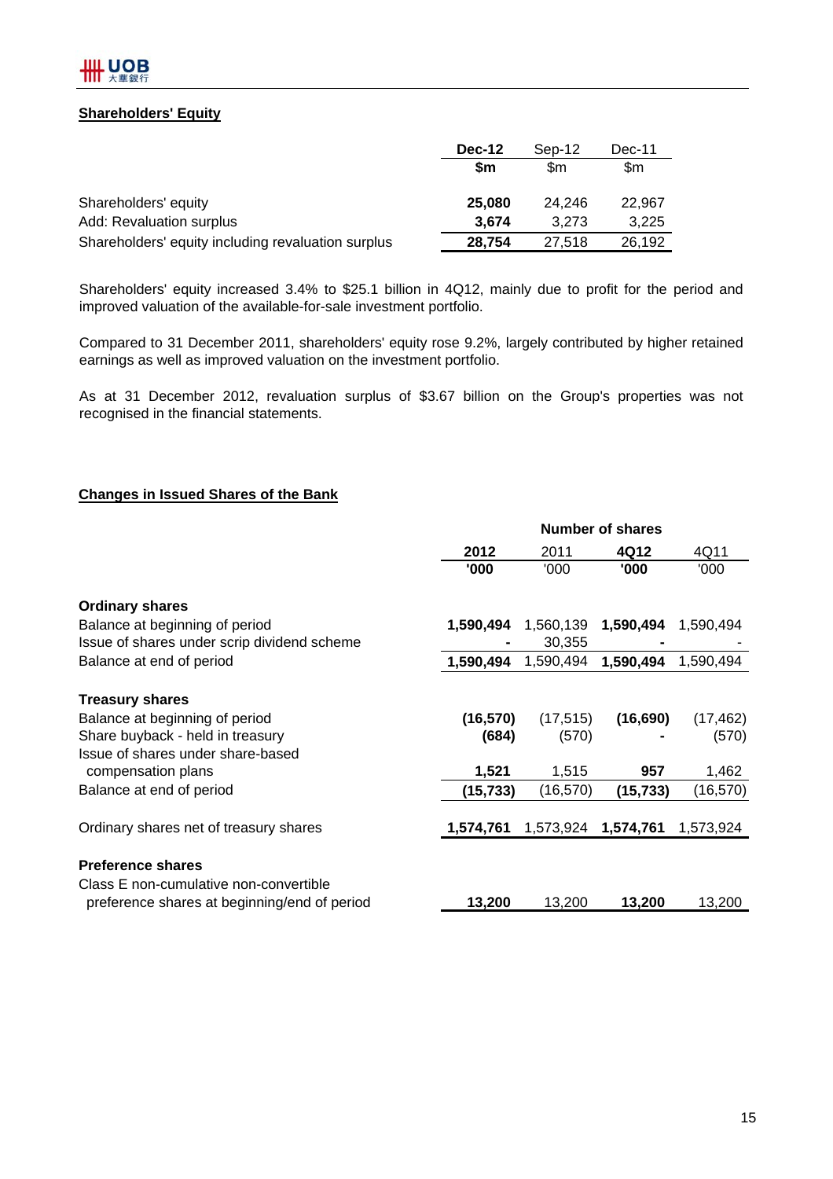## **Shareholders' Equity**

|                                                    | Dec-12 | Sep-12 | Dec-11 |  |
|----------------------------------------------------|--------|--------|--------|--|
|                                                    | \$m    | \$m    | \$m    |  |
| Shareholders' equity                               | 25,080 | 24.246 | 22.967 |  |
| Add: Revaluation surplus                           | 3,674  | 3.273  | 3,225  |  |
| Shareholders' equity including revaluation surplus | 28,754 | 27.518 | 26,192 |  |

Shareholders' equity increased 3.4% to \$25.1 billion in 4Q12, mainly due to profit for the period and improved valuation of the available-for-sale investment portfolio.

Compared to 31 December 2011, shareholders' equity rose 9.2%, largely contributed by higher retained earnings as well as improved valuation on the investment portfolio.

As at 31 December 2012, revaluation surplus of \$3.67 billion on the Group's properties was not recognised in the financial statements.

#### **Changes in Issued Shares of the Bank**

|                                              | <b>Number of shares</b> |           |           |           |  |  |  |
|----------------------------------------------|-------------------------|-----------|-----------|-----------|--|--|--|
|                                              | 2012                    | 2011      | 4Q12      | 4Q11      |  |  |  |
|                                              | '000                    | '000      | '000      | '000      |  |  |  |
| <b>Ordinary shares</b>                       |                         |           |           |           |  |  |  |
| Balance at beginning of period               | 1,590,494               | 1,560,139 | 1,590,494 | 1,590,494 |  |  |  |
| Issue of shares under scrip dividend scheme  |                         | 30,355    |           |           |  |  |  |
| Balance at end of period                     | 1,590,494               | 1,590,494 | 1,590,494 | 1,590,494 |  |  |  |
| <b>Treasury shares</b>                       |                         |           |           |           |  |  |  |
| Balance at beginning of period               | (16, 570)               | (17, 515) | (16, 690) | (17, 462) |  |  |  |
| Share buyback - held in treasury             | (684)                   | (570)     |           | (570)     |  |  |  |
| Issue of shares under share-based            |                         |           |           |           |  |  |  |
| compensation plans                           | 1,521                   | 1,515     | 957       | 1,462     |  |  |  |
| Balance at end of period                     | (15, 733)               | (16, 570) | (15, 733) | (16,570)  |  |  |  |
| Ordinary shares net of treasury shares       | 1,574,761               | 1,573,924 | 1,574,761 | 1,573,924 |  |  |  |
|                                              |                         |           |           |           |  |  |  |
| <b>Preference shares</b>                     |                         |           |           |           |  |  |  |
| Class E non-cumulative non-convertible       |                         |           |           |           |  |  |  |
| preference shares at beginning/end of period | 13,200                  | 13,200    | 13,200    | 13,200    |  |  |  |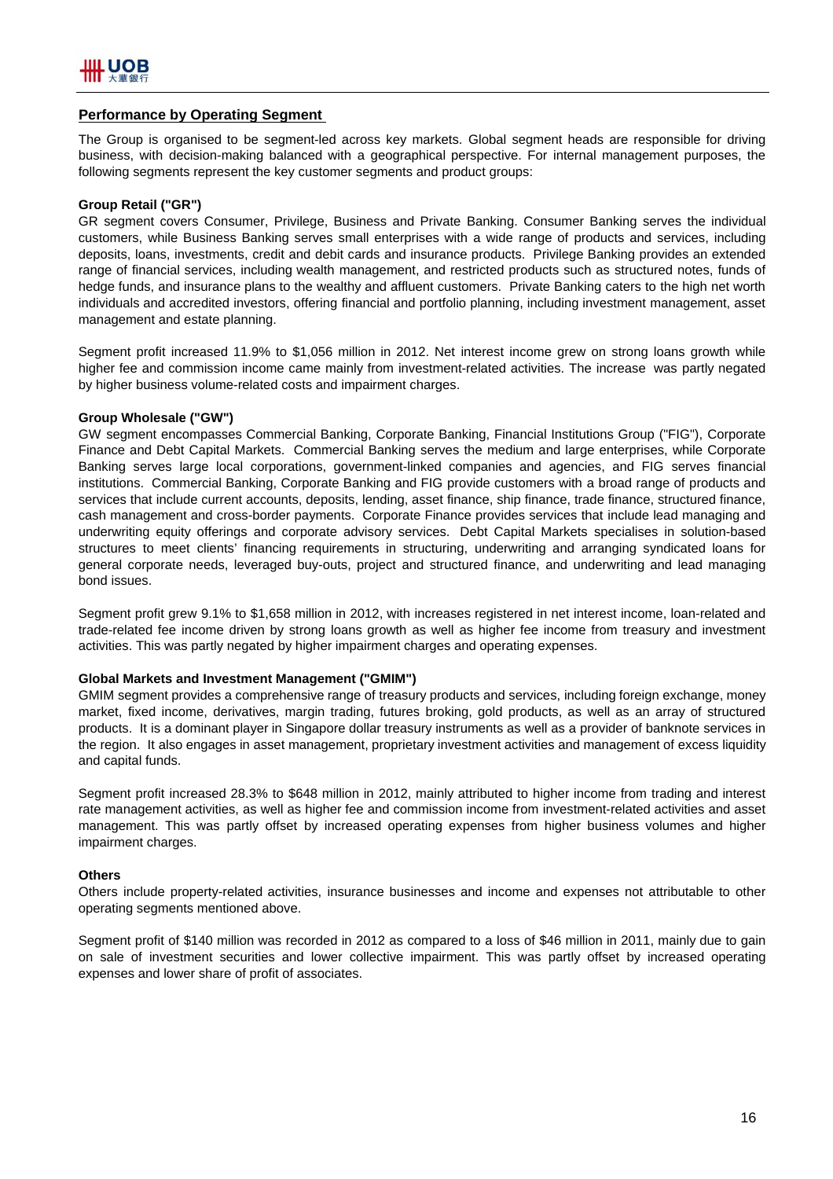#### **Performance by Operating Segment**

The Group is organised to be segment-led across key markets. Global segment heads are responsible for driving business, with decision-making balanced with a geographical perspective. For internal management purposes, the following segments represent the key customer segments and product groups:

#### **Group Retail ("GR")**

GR segment covers Consumer, Privilege, Business and Private Banking. Consumer Banking serves the individual customers, while Business Banking serves small enterprises with a wide range of products and services, including deposits, loans, investments, credit and debit cards and insurance products. Privilege Banking provides an extended range of financial services, including wealth management, and restricted products such as structured notes, funds of hedge funds, and insurance plans to the wealthy and affluent customers. Private Banking caters to the high net worth individuals and accredited investors, offering financial and portfolio planning, including investment management, asset management and estate planning.

Segment profit increased 11.9% to \$1,056 million in 2012. Net interest income grew on strong loans growth while higher fee and commission income came mainly from investment-related activities. The increase was partly negated by higher business volume-related costs and impairment charges.

#### **Group Wholesale ("GW")**

GW segment encompasses Commercial Banking, Corporate Banking, Financial Institutions Group ("FIG"), Corporate Finance and Debt Capital Markets. Commercial Banking serves the medium and large enterprises, while Corporate Banking serves large local corporations, government-linked companies and agencies, and FIG serves financial institutions. Commercial Banking, Corporate Banking and FIG provide customers with a broad range of products and services that include current accounts, deposits, lending, asset finance, ship finance, trade finance, structured finance, cash management and cross-border payments. Corporate Finance provides services that include lead managing and underwriting equity offerings and corporate advisory services. Debt Capital Markets specialises in solution-based structures to meet clients' financing requirements in structuring, underwriting and arranging syndicated loans for general corporate needs, leveraged buy-outs, project and structured finance, and underwriting and lead managing bond issues.

Segment profit grew 9.1% to \$1,658 million in 2012, with increases registered in net interest income, loan-related and trade-related fee income driven by strong loans growth as well as higher fee income from treasury and investment activities. This was partly negated by higher impairment charges and operating expenses.

#### **Global Markets and Investment Management ("GMIM")**

GMIM segment provides a comprehensive range of treasury products and services, including foreign exchange, money market, fixed income, derivatives, margin trading, futures broking, gold products, as well as an array of structured products. It is a dominant player in Singapore dollar treasury instruments as well as a provider of banknote services in the region. It also engages in asset management, proprietary investment activities and management of excess liquidity and capital funds.

Segment profit increased 28.3% to \$648 million in 2012, mainly attributed to higher income from trading and interest rate management activities, as well as higher fee and commission income from investment-related activities and asset management. This was partly offset by increased operating expenses from higher business volumes and higher impairment charges.

#### **Others**

Others include property-related activities, insurance businesses and income and expenses not attributable to other operating segments mentioned above.

Segment profit of \$140 million was recorded in 2012 as compared to a loss of \$46 million in 2011, mainly due to gain on sale of investment securities and lower collective impairment. This was partly offset by increased operating expenses and lower share of profit of associates.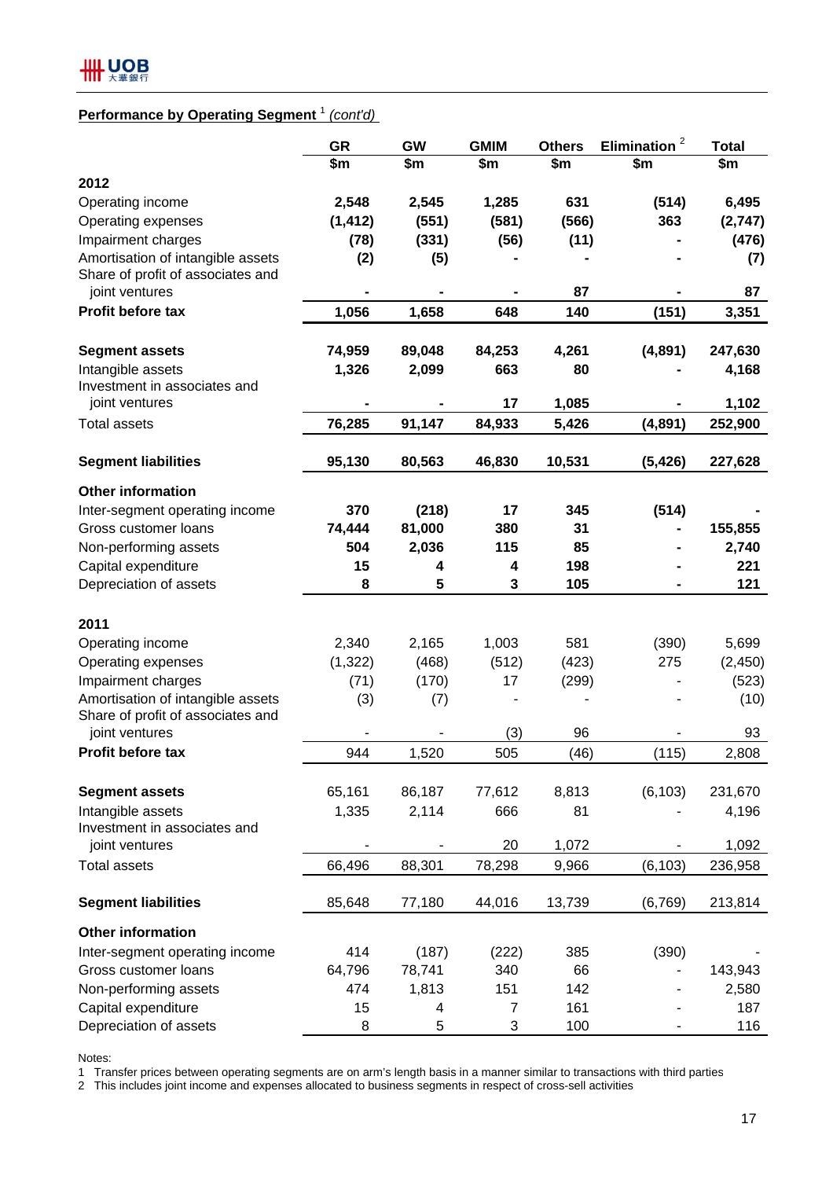# **Performance by Operating Segment** <sup>1</sup> *(cont'd)*

|                                   | <b>GR</b> | GW     | <b>GMIM</b>    | <b>Others</b> | $\overline{\mathbf{c}}$<br><b>Elimination</b> | <b>Total</b> |
|-----------------------------------|-----------|--------|----------------|---------------|-----------------------------------------------|--------------|
|                                   | \$m       | \$m    | \$m            | \$m           | \$m                                           | \$m          |
| 2012                              |           |        |                |               |                                               |              |
| Operating income                  | 2,548     | 2,545  | 1,285          | 631           | (514)                                         | 6,495        |
| Operating expenses                | (1, 412)  | (551)  | (581)          | (566)         | 363                                           | (2,747)      |
| Impairment charges                | (78)      | (331)  | (56)           | (11)          |                                               | (476)        |
| Amortisation of intangible assets | (2)       | (5)    |                |               |                                               | (7)          |
| Share of profit of associates and |           |        |                |               |                                               |              |
| joint ventures                    |           |        |                | 87            |                                               | 87           |
| Profit before tax                 | 1,056     | 1,658  | 648            | 140           | (151)                                         | 3,351        |
| <b>Segment assets</b>             | 74,959    | 89,048 | 84,253         | 4,261         | (4,891)                                       | 247,630      |
| Intangible assets                 | 1,326     | 2,099  | 663            | 80            |                                               | 4,168        |
| Investment in associates and      |           |        |                |               |                                               |              |
| joint ventures                    |           |        | 17             | 1,085         |                                               | 1,102        |
| <b>Total assets</b>               | 76,285    | 91,147 | 84,933         | 5,426         | (4,891)                                       | 252,900      |
| <b>Segment liabilities</b>        | 95,130    | 80,563 | 46,830         | 10,531        | (5, 426)                                      | 227,628      |
| <b>Other information</b>          |           |        |                |               |                                               |              |
| Inter-segment operating income    | 370       | (218)  | 17             | 345           | (514)                                         |              |
| Gross customer loans              | 74,444    | 81,000 | 380            | 31            |                                               | 155,855      |
| Non-performing assets             | 504       | 2,036  | 115            | 85            |                                               | 2,740        |
| Capital expenditure               | 15        | 4      | 4              | 198           |                                               | 221          |
| Depreciation of assets            | 8         | 5      | 3              | 105           |                                               | 121          |
| 2011                              |           |        |                |               |                                               |              |
| Operating income                  | 2,340     | 2,165  | 1,003          | 581           | (390)                                         | 5,699        |
| Operating expenses                | (1, 322)  | (468)  | (512)          | (423)         | 275                                           | (2, 450)     |
| Impairment charges                | (71)      | (170)  | 17             | (299)         |                                               | (523)        |
| Amortisation of intangible assets | (3)       | (7)    |                |               |                                               | (10)         |
| Share of profit of associates and |           |        |                |               |                                               |              |
| joint ventures                    |           |        | (3)            | 96            |                                               | 93           |
| Profit before tax                 | 944       | 1,520  | 505            | (46)          | (115)                                         | 2,808        |
| <b>Segment assets</b>             | 65,161    | 86,187 | 77,612         | 8,813         | (6, 103)                                      | 231,670      |
| Intangible assets                 |           | 2,114  | 666            | 81            |                                               |              |
| Investment in associates and      | 1,335     |        |                |               |                                               | 4,196        |
| joint ventures                    |           |        | 20             | 1,072         |                                               | 1,092        |
| <b>Total assets</b>               | 66,496    | 88,301 | 78,298         | 9,966         | (6, 103)                                      | 236,958      |
| <b>Segment liabilities</b>        | 85,648    | 77,180 | 44,016         | 13,739        | (6, 769)                                      | 213,814      |
| <b>Other information</b>          |           |        |                |               |                                               |              |
| Inter-segment operating income    | 414       | (187)  | (222)          | 385           | (390)                                         |              |
| Gross customer loans              | 64,796    | 78,741 | 340            | 66            | ٠                                             | 143,943      |
| Non-performing assets             | 474       | 1,813  | 151            | 142           |                                               | 2,580        |
| Capital expenditure               | 15        | 4      | $\overline{7}$ | 161           |                                               | 187          |
| Depreciation of assets            | 8         | 5      | 3              | 100           |                                               | 116          |

Notes:

1 Transfer prices between operating segments are on arm's length basis in a manner similar to transactions with third parties

2 This includes joint income and expenses allocated to business segments in respect of cross-sell activities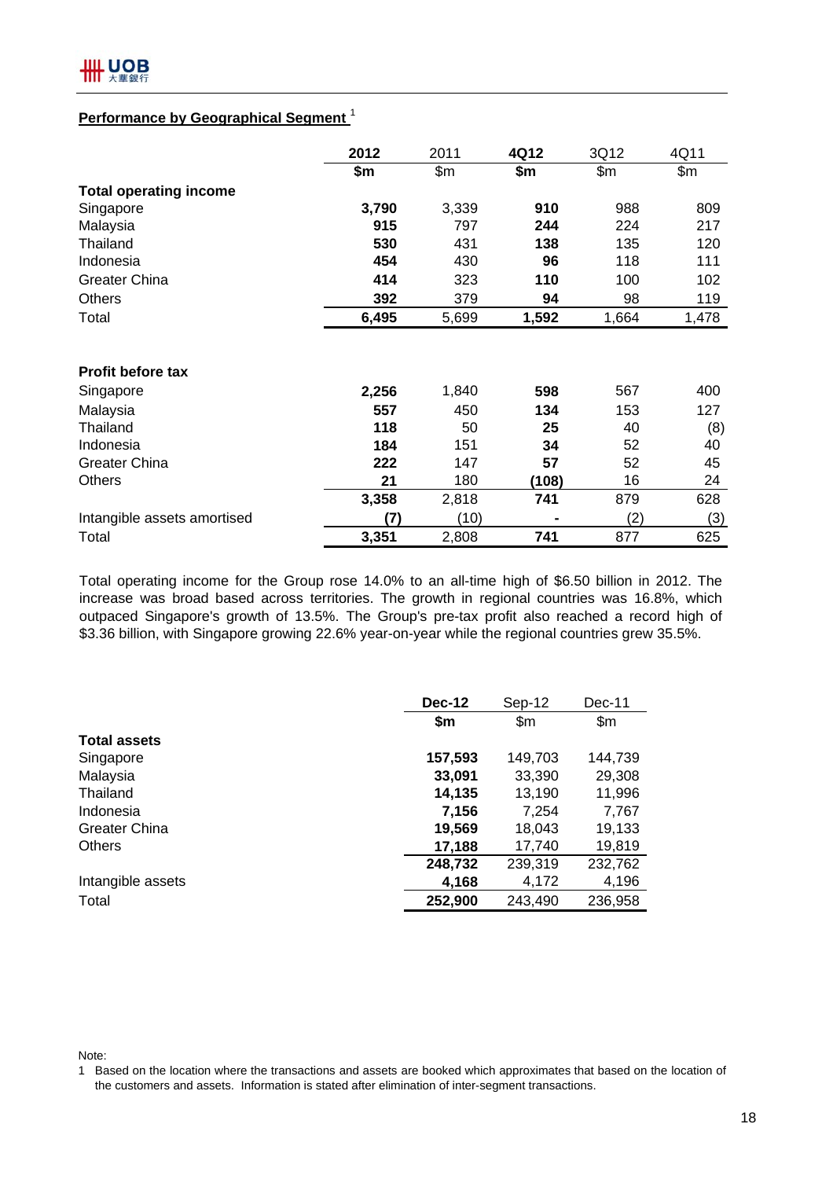# **Performance by Geographical Segment** <sup>1</sup>

|                               | 2012  | 2011  | 4Q12  | 3Q12  | 4Q11  |
|-------------------------------|-------|-------|-------|-------|-------|
|                               | \$m   | \$m\$ | \$m   | \$m\$ | \$m   |
| <b>Total operating income</b> |       |       |       |       |       |
| Singapore                     | 3,790 | 3,339 | 910   | 988   | 809   |
| Malaysia                      | 915   | 797   | 244   | 224   | 217   |
| Thailand                      | 530   | 431   | 138   | 135   | 120   |
| Indonesia                     | 454   | 430   | 96    | 118   | 111   |
| <b>Greater China</b>          | 414   | 323   | 110   | 100   | 102   |
| <b>Others</b>                 | 392   | 379   | 94    | 98    | 119   |
| Total                         | 6,495 | 5,699 | 1,592 | 1,664 | 1,478 |
| Profit before tax             |       |       |       |       |       |
| Singapore                     | 2,256 | 1,840 | 598   | 567   | 400   |
| Malaysia                      | 557   | 450   | 134   | 153   | 127   |
| Thailand                      | 118   | 50    | 25    | 40    | (8)   |
| Indonesia                     | 184   | 151   | 34    | 52    | 40    |
| <b>Greater China</b>          | 222   | 147   | 57    | 52    | 45    |
| <b>Others</b>                 | 21    | 180   | (108) | 16    | 24    |
|                               | 3,358 | 2,818 | 741   | 879   | 628   |
| Intangible assets amortised   | (7)   | (10)  |       | (2)   | (3)   |
| Total                         | 3,351 | 2,808 | 741   | 877   | 625   |

Total operating income for the Group rose 14.0% to an all-time high of \$6.50 billion in 2012. The increase was broad based across territories. The growth in regional countries was 16.8%, which outpaced Singapore's growth of 13.5%. The Group's pre-tax profit also reached a record high of \$3.36 billion, with Singapore growing 22.6% year-on-year while the regional countries grew 35.5%.

|                      | <b>Dec-12</b> | Sep-12       | Dec-11  |  |
|----------------------|---------------|--------------|---------|--|
|                      | \$m\$         | $\mathsf{m}$ | \$m\$   |  |
| <b>Total assets</b>  |               |              |         |  |
| Singapore            | 157,593       | 149,703      | 144,739 |  |
| Malaysia             | 33,091        | 33,390       | 29,308  |  |
| Thailand             | 14,135        | 13,190       | 11,996  |  |
| Indonesia            | 7,156         | 7,254        | 7,767   |  |
| <b>Greater China</b> | 19,569        | 18,043       | 19,133  |  |
| <b>Others</b>        | 17,188        | 17,740       | 19,819  |  |
|                      | 248,732       | 239,319      | 232,762 |  |
| Intangible assets    | 4,168         | 4,172        | 4,196   |  |
| Total                | 252,900       | 243,490      | 236,958 |  |

Note:

1 Based on the location where the transactions and assets are booked which approximates that based on the location of the customers and assets. Information is stated after elimination of inter-segment transactions.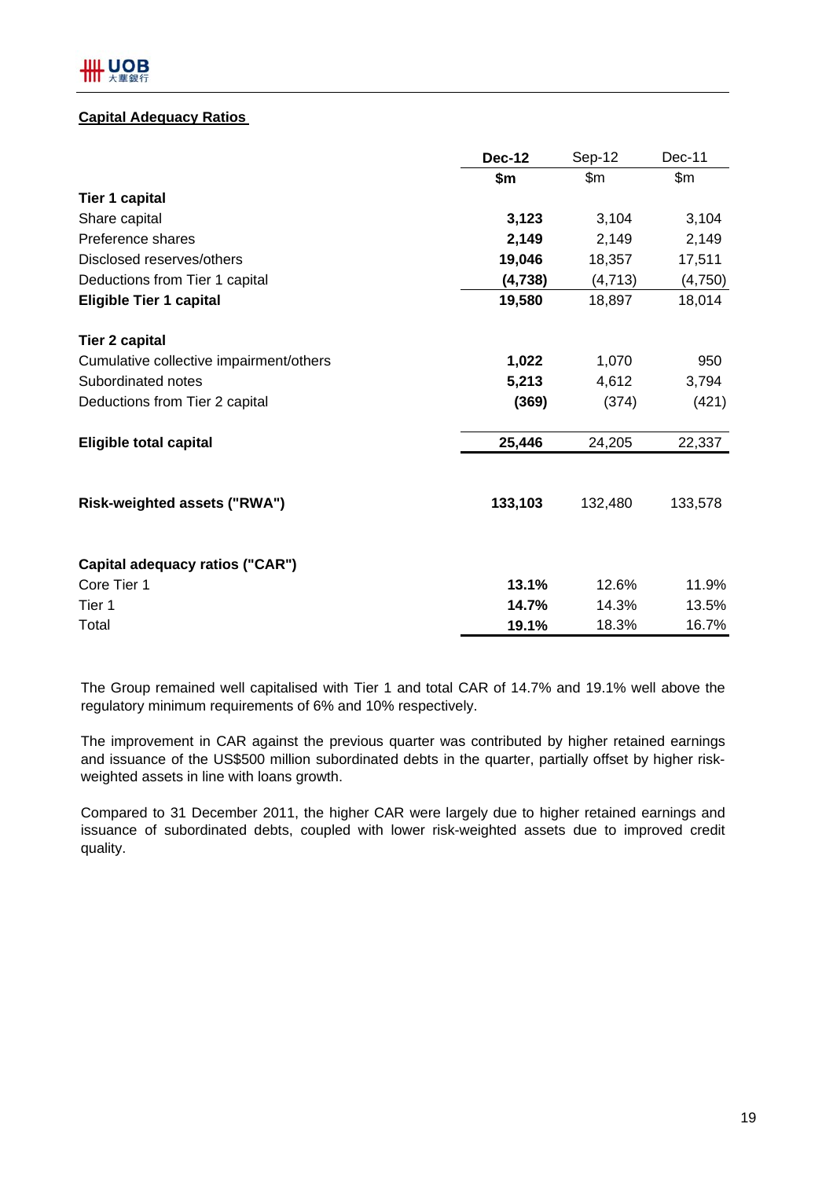## **Capital Adequacy Ratios**

|                                         | <b>Dec-12</b> | Sep-12   | Dec-11        |
|-----------------------------------------|---------------|----------|---------------|
|                                         | \$m           | \$m      | $\mathsf{Sm}$ |
| <b>Tier 1 capital</b>                   |               |          |               |
| Share capital                           | 3,123         | 3,104    | 3,104         |
| Preference shares                       | 2,149         | 2,149    | 2,149         |
| Disclosed reserves/others               | 19,046        | 18,357   | 17,511        |
| Deductions from Tier 1 capital          | (4,738)       | (4, 713) | (4,750)       |
| <b>Eligible Tier 1 capital</b>          | 19,580        | 18,897   | 18,014        |
| <b>Tier 2 capital</b>                   |               |          |               |
| Cumulative collective impairment/others | 1,022         | 1,070    | 950           |
| Subordinated notes                      | 5,213         | 4,612    | 3,794         |
| Deductions from Tier 2 capital          | (369)         | (374)    | (421)         |
| <b>Eligible total capital</b>           | 25,446        | 24,205   | 22,337        |
| Risk-weighted assets ("RWA")            | 133,103       | 132,480  | 133,578       |
| Capital adequacy ratios ("CAR")         |               |          |               |
| Core Tier 1                             | 13.1%         | 12.6%    | 11.9%         |
| Tier 1                                  | 14.7%         | 14.3%    | 13.5%         |
| Total                                   | 19.1%         | 18.3%    | 16.7%         |

The Group remained well capitalised with Tier 1 and total CAR of 14.7% and 19.1% well above the regulatory minimum requirements of 6% and 10% respectively.

The improvement in CAR against the previous quarter was contributed by higher retained earnings and issuance of the US\$500 million subordinated debts in the quarter, partially offset by higher riskweighted assets in line with loans growth.

Compared to 31 December 2011, the higher CAR were largely due to higher retained earnings and issuance of subordinated debts, coupled with lower risk-weighted assets due to improved credit quality.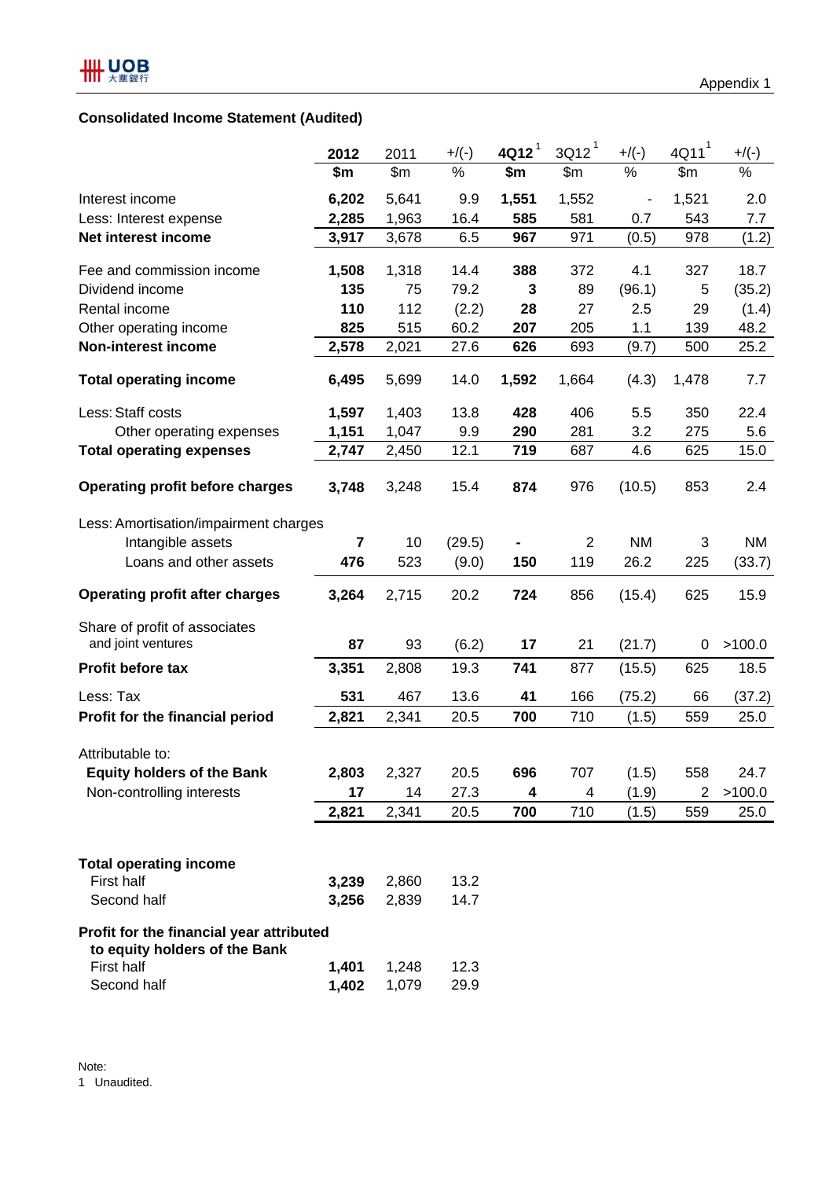# **Consolidated Income Statement (Audited)**

|                                                                           | 2012                    | 2011  | $+$ /(-) | $4Q12$ <sup>1</sup> | $3Q12^1$       | $+$ /(-)  | $4Q11$ <sup>1</sup> | $+$ /(-)  |
|---------------------------------------------------------------------------|-------------------------|-------|----------|---------------------|----------------|-----------|---------------------|-----------|
|                                                                           | \$m                     | \$m\$ | $\%$     | \$m                 | \$m\$          | $\%$      | \$m\$               | $\%$      |
| Interest income                                                           | 6,202                   | 5,641 | 9.9      | 1,551               | 1,552          |           | 1,521               | 2.0       |
| Less: Interest expense                                                    | 2,285                   | 1,963 | 16.4     | 585                 | 581            | 0.7       | 543                 | 7.7       |
| Net interest income                                                       | 3,917                   | 3,678 | 6.5      | 967                 | 971            | (0.5)     | 978                 | (1.2)     |
| Fee and commission income                                                 | 1,508                   | 1,318 | 14.4     | 388                 | 372            | 4.1       | 327                 | 18.7      |
| Dividend income                                                           | 135                     | 75    | 79.2     | 3                   | 89             | (96.1)    | 5                   | (35.2)    |
| Rental income                                                             | 110                     | 112   | (2.2)    | 28                  | 27             | 2.5       | 29                  | (1.4)     |
| Other operating income                                                    | 825                     | 515   | 60.2     | 207                 | 205            | 1.1       | 139                 | 48.2      |
| <b>Non-interest income</b>                                                | 2,578                   | 2,021 | 27.6     | 626                 | 693            | (9.7)     | 500                 | 25.2      |
| <b>Total operating income</b>                                             | 6,495                   | 5,699 | 14.0     | 1,592               | 1,664          | (4.3)     | 1,478               | 7.7       |
| Less: Staff costs                                                         | 1,597                   | 1,403 | 13.8     | 428                 | 406            | 5.5       | 350                 | 22.4      |
| Other operating expenses                                                  | 1,151                   | 1,047 | 9.9      | 290                 | 281            | 3.2       | 275                 | 5.6       |
| <b>Total operating expenses</b>                                           | 2,747                   | 2,450 | 12.1     | 719                 | 687            | 4.6       | 625                 | 15.0      |
| <b>Operating profit before charges</b>                                    | 3,748                   | 3,248 | 15.4     | 874                 | 976            | (10.5)    | 853                 | 2.4       |
| Less: Amortisation/impairment charges                                     |                         |       |          |                     |                |           |                     |           |
| Intangible assets                                                         | $\overline{\mathbf{7}}$ | 10    | (29.5)   |                     | $\overline{2}$ | <b>NM</b> | 3                   | <b>NM</b> |
| Loans and other assets                                                    | 476                     | 523   | (9.0)    | 150                 | 119            | 26.2      | 225                 | (33.7)    |
| <b>Operating profit after charges</b>                                     | 3,264                   | 2,715 | 20.2     | 724                 | 856            | (15.4)    | 625                 | 15.9      |
| Share of profit of associates                                             |                         |       |          |                     |                |           |                     |           |
| and joint ventures                                                        | 87                      | 93    | (6.2)    | 17                  | 21             | (21.7)    | 0                   | >100.0    |
| Profit before tax                                                         | 3,351                   | 2,808 | 19.3     | 741                 | 877            | (15.5)    | 625                 | 18.5      |
| Less: Tax                                                                 | 531                     | 467   | 13.6     | 41                  | 166            | (75.2)    | 66                  | (37.2)    |
| Profit for the financial period                                           | 2,821                   | 2,341 | 20.5     | 700                 | 710            | (1.5)     | 559                 | 25.0      |
| Attributable to:                                                          |                         |       |          |                     |                |           |                     |           |
| <b>Equity holders of the Bank</b>                                         | 2,803                   | 2,327 | 20.5     | 696                 | 707            | (1.5)     | 558                 | 24.7      |
| Non-controlling interests                                                 | 17                      | 14    | 27.3     | 4                   | 4              | (1.9)     | 2                   | >100.0    |
|                                                                           | 2,821                   | 2,341 | 20.5     | 700                 | 710            | (1.5)     | 559                 | 25.0      |
|                                                                           |                         |       |          |                     |                |           |                     |           |
| <b>Total operating income</b>                                             |                         |       |          |                     |                |           |                     |           |
| First half                                                                | 3,239                   | 2,860 | 13.2     |                     |                |           |                     |           |
| Second half                                                               | 3,256                   | 2,839 | 14.7     |                     |                |           |                     |           |
| Profit for the financial year attributed<br>to equity holders of the Bank |                         |       |          |                     |                |           |                     |           |
| <b>First half</b>                                                         | 1,401                   | 1,248 | 12.3     |                     |                |           |                     |           |
| Second half                                                               | 1,402                   | 1,079 | 29.9     |                     |                |           |                     |           |

Note: 1 Unaudited.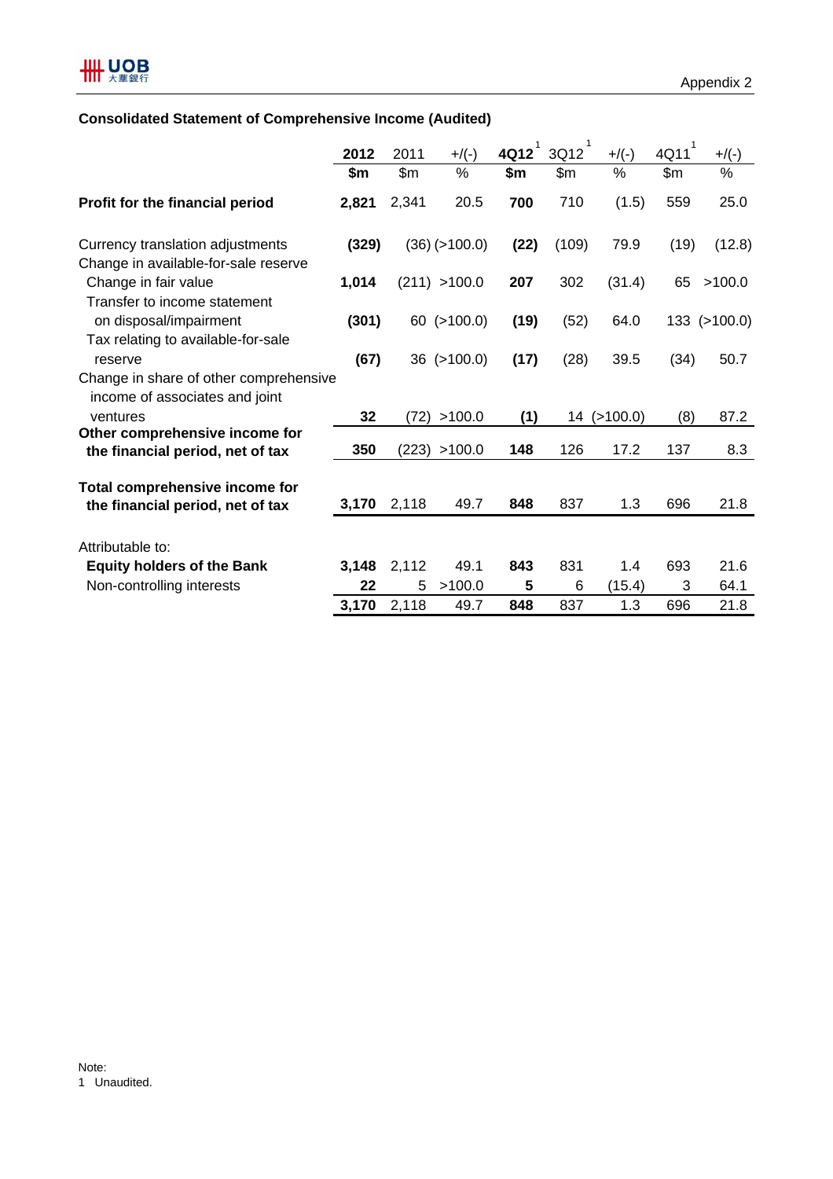# **Consolidated Statement of Comprehensive Income (Audited)**

|                                                                          | 2012  | 2011  | $+$ /(-)            | 4Q12 | 1<br>3Q12 | $+$ /(-)    | $4Q11$ <sup>1</sup> | $+$ /(-)     |
|--------------------------------------------------------------------------|-------|-------|---------------------|------|-----------|-------------|---------------------|--------------|
|                                                                          | \$m   | \$m\$ | %                   | \$m  | \$m\$     | %           | \$m                 | %            |
| Profit for the financial period                                          | 2,821 | 2,341 | 20.5                | 700  | 710       | (1.5)       | 559                 | 25.0         |
| Currency translation adjustments<br>Change in available-for-sale reserve | (329) |       | $(36)$ ( $>100.0$ ) | (22) | (109)     | 79.9        | (19)                | (12.8)       |
| Change in fair value<br>Transfer to income statement                     | 1,014 |       | (211) > 100.0       | 207  | 302       | (31.4)      | 65                  | >100.0       |
| on disposal/impairment<br>Tax relating to available-for-sale             | (301) |       | $60$ ( $>100.0$ )   | (19) | (52)      | 64.0        |                     | 133 (>100.0) |
| reserve                                                                  | (67)  |       | $36$ ( $>100.0$ )   | (17) | (28)      | 39.5        | (34)                | 50.7         |
| Change in share of other comprehensive<br>income of associates and joint |       |       |                     |      |           |             |                     |              |
| ventures                                                                 | 32    |       | (72) > 100.0        | (1)  |           | 14 (>100.0) | (8)                 | 87.2         |
| Other comprehensive income for<br>the financial period, net of tax       | 350   |       | (223) > 100.0       | 148  | 126       | 17.2        | 137                 | 8.3          |
| Total comprehensive income for<br>the financial period, net of tax       | 3,170 | 2,118 | 49.7                | 848  | 837       | 1.3         | 696                 | 21.8         |
| Attributable to:                                                         |       |       |                     |      |           |             |                     |              |
| <b>Equity holders of the Bank</b>                                        | 3,148 | 2,112 | 49.1                | 843  | 831       | 1.4         | 693                 | 21.6         |
| Non-controlling interests                                                | 22    | 5     | >100.0              | 5    | 6         | (15.4)      | 3                   | 64.1         |
|                                                                          | 3,170 | 2,118 | 49.7                | 848  | 837       | 1.3         | 696                 | 21.8         |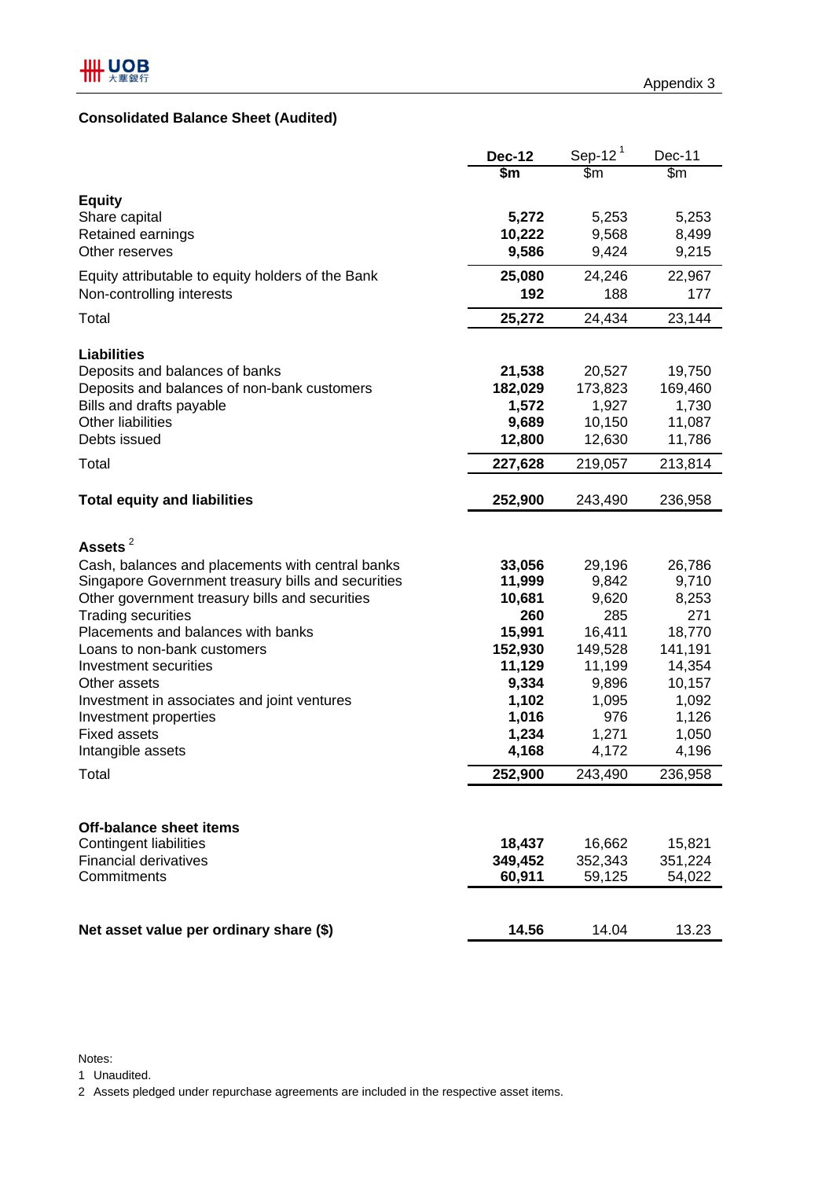# **Consolidated Balance Sheet (Audited)**

|                                                    | <b>Dec-12</b> | Sep-12 $1$ | Dec-11  |
|----------------------------------------------------|---------------|------------|---------|
|                                                    | \$m           | \$m        | \$m     |
| <b>Equity</b>                                      |               |            |         |
| Share capital                                      | 5,272         | 5,253      | 5,253   |
| Retained earnings                                  | 10,222        | 9,568      | 8,499   |
| Other reserves                                     | 9,586         | 9,424      | 9,215   |
| Equity attributable to equity holders of the Bank  | 25,080        | 24,246     | 22,967  |
| Non-controlling interests                          | 192           | 188        | 177     |
| Total                                              | 25,272        | 24,434     | 23,144  |
|                                                    |               |            |         |
| <b>Liabilities</b>                                 |               |            |         |
| Deposits and balances of banks                     | 21,538        | 20,527     | 19,750  |
| Deposits and balances of non-bank customers        | 182,029       | 173,823    | 169,460 |
| Bills and drafts payable                           | 1,572         | 1,927      | 1,730   |
| <b>Other liabilities</b>                           | 9,689         | 10,150     | 11,087  |
| Debts issued                                       | 12,800        | 12,630     | 11,786  |
| Total                                              | 227,628       | 219,057    | 213,814 |
| <b>Total equity and liabilities</b>                | 252,900       | 243,490    | 236,958 |
|                                                    |               |            |         |
| Assets <sup>2</sup>                                |               |            |         |
| Cash, balances and placements with central banks   | 33,056        | 29,196     | 26,786  |
| Singapore Government treasury bills and securities | 11,999        | 9,842      | 9,710   |
| Other government treasury bills and securities     | 10,681        | 9,620      | 8,253   |
| <b>Trading securities</b>                          | 260           | 285        | 271     |
| Placements and balances with banks                 | 15,991        | 16,411     | 18,770  |
| Loans to non-bank customers                        | 152,930       | 149,528    | 141,191 |
| Investment securities                              | 11,129        | 11,199     | 14,354  |
| Other assets                                       | 9,334         | 9,896      | 10,157  |
| Investment in associates and joint ventures        | 1,102         | 1,095      | 1,092   |
| Investment properties                              | 1,016         | 976        | 1,126   |
| <b>Fixed assets</b>                                | 1,234         | 1,271      | 1,050   |
| Intangible assets                                  | 4,168         | 4,172      | 4,196   |
| Total                                              | 252,900       | 243,490    | 236,958 |
|                                                    |               |            |         |
| <b>Off-balance sheet items</b>                     |               |            |         |
| Contingent liabilities                             | 18,437        | 16,662     | 15,821  |
| <b>Financial derivatives</b>                       | 349,452       | 352,343    | 351,224 |
| Commitments                                        | 60,911        | 59,125     | 54,022  |
|                                                    |               |            |         |
| Net asset value per ordinary share (\$)            | 14.56         | 14.04      | 13.23   |

Notes:

1 Unaudited.

2 Assets pledged under repurchase agreements are included in the respective asset items.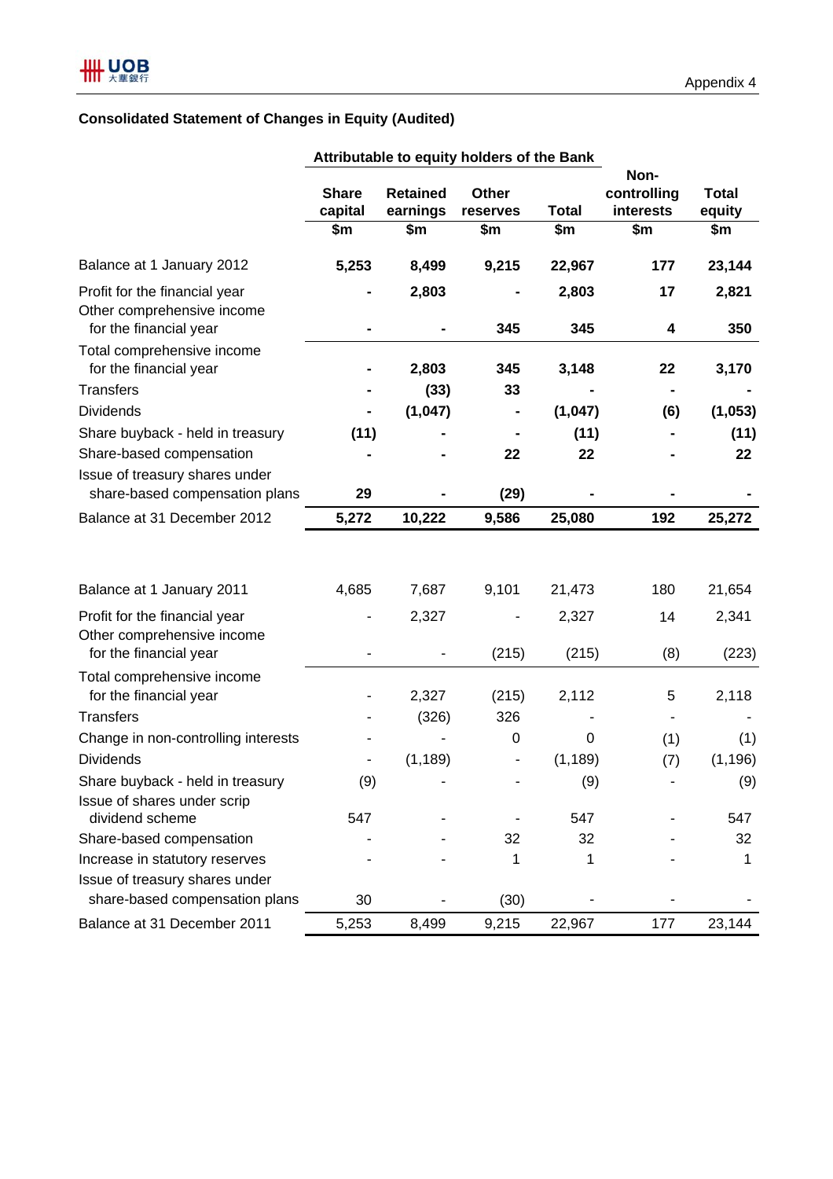# **Consolidated Statement of Changes in Equity (Audited)**

|                                                                                       |                         |                             | Attributable to equity holders of the Bank |                |                                  |                        |
|---------------------------------------------------------------------------------------|-------------------------|-----------------------------|--------------------------------------------|----------------|----------------------------------|------------------------|
|                                                                                       | <b>Share</b><br>capital | <b>Retained</b><br>earnings | <b>Other</b><br>reserves                   | <b>Total</b>   | Non-<br>controlling<br>interests | <b>Total</b><br>equity |
|                                                                                       | \$m                     | \$m                         | \$m                                        | \$m            | \$m                              | \$m                    |
| Balance at 1 January 2012                                                             | 5,253                   | 8,499                       | 9,215                                      | 22,967         | 177                              | 23,144                 |
| Profit for the financial year<br>Other comprehensive income<br>for the financial year |                         | 2,803                       | 345                                        | 2,803<br>345   | 17<br>4                          | 2,821<br>350           |
| Total comprehensive income<br>for the financial year                                  |                         | 2,803                       | 345                                        | 3,148          | 22                               | 3,170                  |
| <b>Transfers</b>                                                                      |                         | (33)                        | 33                                         |                |                                  |                        |
| <b>Dividends</b>                                                                      |                         | (1,047)                     |                                            | (1,047)        | (6)                              | (1,053)                |
| Share buyback - held in treasury                                                      | (11)                    |                             |                                            | (11)           |                                  | (11)                   |
| Share-based compensation                                                              |                         |                             | 22                                         | 22             |                                  | 22                     |
| Issue of treasury shares under<br>share-based compensation plans                      | 29                      |                             | (29)                                       |                |                                  |                        |
| Balance at 31 December 2012                                                           | 5,272                   | 10,222                      | 9,586                                      | 25,080         | 192                              | 25,272                 |
| Balance at 1 January 2011                                                             | 4,685                   | 7,687                       | 9,101                                      | 21,473         | 180                              | 21,654                 |
|                                                                                       |                         |                             |                                            |                |                                  |                        |
| Profit for the financial year<br>Other comprehensive income<br>for the financial year |                         | 2,327                       | (215)                                      | 2,327<br>(215) | 14<br>(8)                        | 2,341<br>(223)         |
| Total comprehensive income                                                            |                         |                             |                                            |                |                                  |                        |
| for the financial year                                                                |                         | 2,327                       | (215)                                      | 2,112          | 5                                | 2,118                  |
| <b>Transfers</b>                                                                      |                         | (326)                       | 326                                        |                |                                  |                        |
| Change in non-controlling interests                                                   |                         |                             | $\pmb{0}$                                  | 0              | (1)                              | (1)                    |
| <b>Dividends</b>                                                                      |                         | (1, 189)                    |                                            | (1, 189)       | (7)                              | (1, 196)               |
| Share buyback - held in treasury<br>Issue of shares under scrip                       | (9)                     |                             |                                            | (9)            |                                  | (9)                    |
| dividend scheme                                                                       | 547                     |                             |                                            | 547            |                                  | 547                    |
| Share-based compensation                                                              |                         |                             | 32                                         | 32             |                                  | 32                     |
| Increase in statutory reserves                                                        |                         |                             | 1                                          | 1              |                                  | 1                      |
| Issue of treasury shares under<br>share-based compensation plans                      | 30                      |                             | (30)                                       |                |                                  |                        |
| Balance at 31 December 2011                                                           | 5,253                   | 8,499                       | 9,215                                      | 22,967         | 177                              | 23,144                 |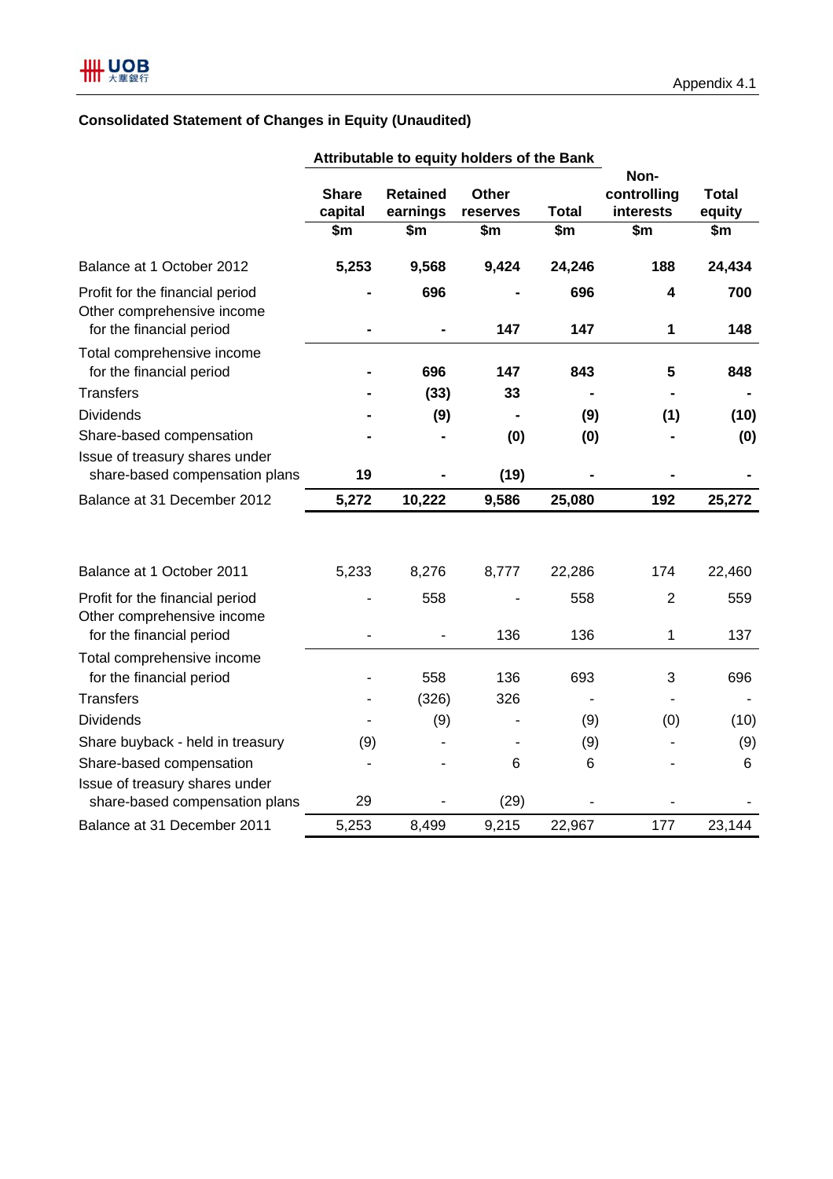# **Consolidated Statement of Changes in Equity (Unaudited)**

| Non-<br><b>Retained</b><br><b>Share</b><br><b>Other</b><br>controlling<br><b>Total</b><br>capital<br>earnings<br><b>Total</b><br>interests<br>equity<br>reserves<br>$\overline{\text{sm}}$<br>$\overline{\text{sm}}$<br>$\overline{\$m}$<br>$\overline{\$m}$<br>$\overline{\text{sm}}$<br>$\overline{\text{sm}}$<br>5,253<br>9,568<br>9,424<br>24,246<br>188<br>24,434<br>Balance at 1 October 2012<br>696<br>696<br>700<br>Profit for the financial period<br>4<br>Other comprehensive income<br>for the financial period<br>147<br>147<br>1<br>148<br>Total comprehensive income<br>for the financial period<br>5<br>696<br>147<br>843<br>848<br><b>Transfers</b><br>(33)<br>33<br><b>Dividends</b><br>(9)<br>(9)<br>(1)<br>(10)<br>$\blacksquare$<br>Share-based compensation<br>(0)<br>(0)<br>(0)<br>Issue of treasury shares under<br>share-based compensation plans<br>19<br>(19)<br>5,272<br>10,222<br>9,586<br>25,080<br>192<br>25,272<br>Balance at 31 December 2012<br>8,276<br>5,233<br>8,777<br>22,286<br>174<br>Balance at 1 October 2011<br>22,460<br>Profit for the financial period<br>558<br>$\overline{2}$<br>558<br>559<br>Other comprehensive income<br>for the financial period<br>136<br>136<br>1<br>137<br>Total comprehensive income<br>for the financial period<br>136<br>693<br>558<br>3<br>696<br><b>Transfers</b><br>326<br>(326)<br><b>Dividends</b><br>(9)<br>(9)<br>(0)<br>(10)<br>Share buyback - held in treasury<br>(9)<br>(9)<br>(9)<br>Share-based compensation<br>6<br>6<br>6<br>Issue of treasury shares under<br>29<br>(29)<br>share-based compensation plans<br>Balance at 31 December 2011<br>5,253<br>22,967<br>177<br>23,144<br>8,499<br>9,215 | Attributable to equity holders of the Bank |  |  |  |  |  |  |
|-------------------------------------------------------------------------------------------------------------------------------------------------------------------------------------------------------------------------------------------------------------------------------------------------------------------------------------------------------------------------------------------------------------------------------------------------------------------------------------------------------------------------------------------------------------------------------------------------------------------------------------------------------------------------------------------------------------------------------------------------------------------------------------------------------------------------------------------------------------------------------------------------------------------------------------------------------------------------------------------------------------------------------------------------------------------------------------------------------------------------------------------------------------------------------------------------------------------------------------------------------------------------------------------------------------------------------------------------------------------------------------------------------------------------------------------------------------------------------------------------------------------------------------------------------------------------------------------------------------------------------------------------------------------------------------------|--------------------------------------------|--|--|--|--|--|--|
|                                                                                                                                                                                                                                                                                                                                                                                                                                                                                                                                                                                                                                                                                                                                                                                                                                                                                                                                                                                                                                                                                                                                                                                                                                                                                                                                                                                                                                                                                                                                                                                                                                                                                           |                                            |  |  |  |  |  |  |
|                                                                                                                                                                                                                                                                                                                                                                                                                                                                                                                                                                                                                                                                                                                                                                                                                                                                                                                                                                                                                                                                                                                                                                                                                                                                                                                                                                                                                                                                                                                                                                                                                                                                                           |                                            |  |  |  |  |  |  |
|                                                                                                                                                                                                                                                                                                                                                                                                                                                                                                                                                                                                                                                                                                                                                                                                                                                                                                                                                                                                                                                                                                                                                                                                                                                                                                                                                                                                                                                                                                                                                                                                                                                                                           |                                            |  |  |  |  |  |  |
|                                                                                                                                                                                                                                                                                                                                                                                                                                                                                                                                                                                                                                                                                                                                                                                                                                                                                                                                                                                                                                                                                                                                                                                                                                                                                                                                                                                                                                                                                                                                                                                                                                                                                           |                                            |  |  |  |  |  |  |
|                                                                                                                                                                                                                                                                                                                                                                                                                                                                                                                                                                                                                                                                                                                                                                                                                                                                                                                                                                                                                                                                                                                                                                                                                                                                                                                                                                                                                                                                                                                                                                                                                                                                                           |                                            |  |  |  |  |  |  |
|                                                                                                                                                                                                                                                                                                                                                                                                                                                                                                                                                                                                                                                                                                                                                                                                                                                                                                                                                                                                                                                                                                                                                                                                                                                                                                                                                                                                                                                                                                                                                                                                                                                                                           |                                            |  |  |  |  |  |  |
|                                                                                                                                                                                                                                                                                                                                                                                                                                                                                                                                                                                                                                                                                                                                                                                                                                                                                                                                                                                                                                                                                                                                                                                                                                                                                                                                                                                                                                                                                                                                                                                                                                                                                           |                                            |  |  |  |  |  |  |
|                                                                                                                                                                                                                                                                                                                                                                                                                                                                                                                                                                                                                                                                                                                                                                                                                                                                                                                                                                                                                                                                                                                                                                                                                                                                                                                                                                                                                                                                                                                                                                                                                                                                                           |                                            |  |  |  |  |  |  |
|                                                                                                                                                                                                                                                                                                                                                                                                                                                                                                                                                                                                                                                                                                                                                                                                                                                                                                                                                                                                                                                                                                                                                                                                                                                                                                                                                                                                                                                                                                                                                                                                                                                                                           |                                            |  |  |  |  |  |  |
|                                                                                                                                                                                                                                                                                                                                                                                                                                                                                                                                                                                                                                                                                                                                                                                                                                                                                                                                                                                                                                                                                                                                                                                                                                                                                                                                                                                                                                                                                                                                                                                                                                                                                           |                                            |  |  |  |  |  |  |
|                                                                                                                                                                                                                                                                                                                                                                                                                                                                                                                                                                                                                                                                                                                                                                                                                                                                                                                                                                                                                                                                                                                                                                                                                                                                                                                                                                                                                                                                                                                                                                                                                                                                                           |                                            |  |  |  |  |  |  |
|                                                                                                                                                                                                                                                                                                                                                                                                                                                                                                                                                                                                                                                                                                                                                                                                                                                                                                                                                                                                                                                                                                                                                                                                                                                                                                                                                                                                                                                                                                                                                                                                                                                                                           |                                            |  |  |  |  |  |  |
|                                                                                                                                                                                                                                                                                                                                                                                                                                                                                                                                                                                                                                                                                                                                                                                                                                                                                                                                                                                                                                                                                                                                                                                                                                                                                                                                                                                                                                                                                                                                                                                                                                                                                           |                                            |  |  |  |  |  |  |
|                                                                                                                                                                                                                                                                                                                                                                                                                                                                                                                                                                                                                                                                                                                                                                                                                                                                                                                                                                                                                                                                                                                                                                                                                                                                                                                                                                                                                                                                                                                                                                                                                                                                                           |                                            |  |  |  |  |  |  |
|                                                                                                                                                                                                                                                                                                                                                                                                                                                                                                                                                                                                                                                                                                                                                                                                                                                                                                                                                                                                                                                                                                                                                                                                                                                                                                                                                                                                                                                                                                                                                                                                                                                                                           |                                            |  |  |  |  |  |  |
|                                                                                                                                                                                                                                                                                                                                                                                                                                                                                                                                                                                                                                                                                                                                                                                                                                                                                                                                                                                                                                                                                                                                                                                                                                                                                                                                                                                                                                                                                                                                                                                                                                                                                           |                                            |  |  |  |  |  |  |
|                                                                                                                                                                                                                                                                                                                                                                                                                                                                                                                                                                                                                                                                                                                                                                                                                                                                                                                                                                                                                                                                                                                                                                                                                                                                                                                                                                                                                                                                                                                                                                                                                                                                                           |                                            |  |  |  |  |  |  |
|                                                                                                                                                                                                                                                                                                                                                                                                                                                                                                                                                                                                                                                                                                                                                                                                                                                                                                                                                                                                                                                                                                                                                                                                                                                                                                                                                                                                                                                                                                                                                                                                                                                                                           |                                            |  |  |  |  |  |  |
|                                                                                                                                                                                                                                                                                                                                                                                                                                                                                                                                                                                                                                                                                                                                                                                                                                                                                                                                                                                                                                                                                                                                                                                                                                                                                                                                                                                                                                                                                                                                                                                                                                                                                           |                                            |  |  |  |  |  |  |
|                                                                                                                                                                                                                                                                                                                                                                                                                                                                                                                                                                                                                                                                                                                                                                                                                                                                                                                                                                                                                                                                                                                                                                                                                                                                                                                                                                                                                                                                                                                                                                                                                                                                                           |                                            |  |  |  |  |  |  |
|                                                                                                                                                                                                                                                                                                                                                                                                                                                                                                                                                                                                                                                                                                                                                                                                                                                                                                                                                                                                                                                                                                                                                                                                                                                                                                                                                                                                                                                                                                                                                                                                                                                                                           |                                            |  |  |  |  |  |  |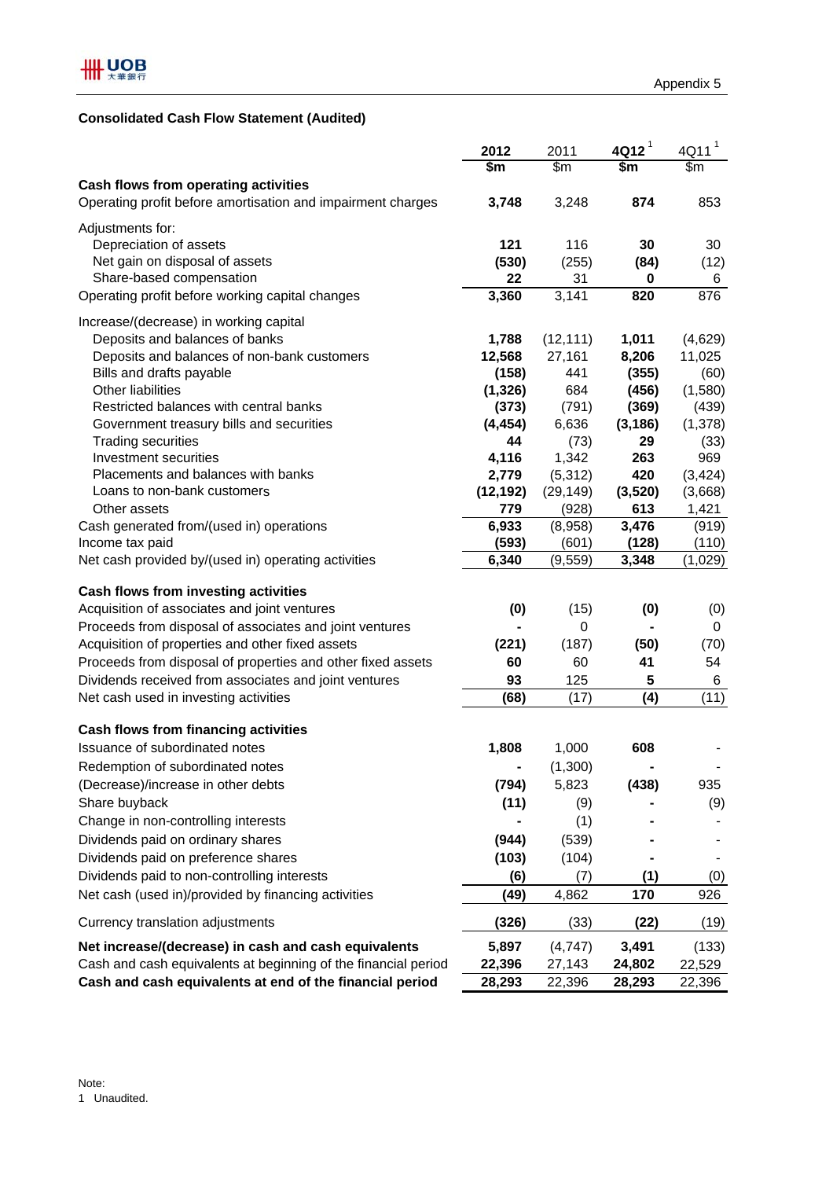# **Consolidated Cash Flow Statement (Audited)**

|                                                                | 2012         | 2011                     | $4$ Q12 <sup>1</sup> | $\mathbf{1}$<br>4Q11 |
|----------------------------------------------------------------|--------------|--------------------------|----------------------|----------------------|
|                                                                | \$m          | $\overline{\mathsf{Sm}}$ | \$m                  | $\overline{\$m}$     |
| Cash flows from operating activities                           |              |                          |                      |                      |
| Operating profit before amortisation and impairment charges    | 3,748        | 3,248                    | 874                  | 853                  |
| Adjustments for:                                               |              |                          |                      |                      |
| Depreciation of assets                                         | 121          | 116                      | 30                   | 30                   |
| Net gain on disposal of assets                                 | (530)        | (255)                    | (84)                 | (12)                 |
| Share-based compensation                                       | 22           | 31                       | 0                    | 6                    |
| Operating profit before working capital changes                | 3,360        | 3,141                    | 820                  | 876                  |
| Increase/(decrease) in working capital                         |              |                          |                      |                      |
| Deposits and balances of banks                                 | 1,788        | (12, 111)                | 1,011                | (4,629)              |
| Deposits and balances of non-bank customers                    | 12,568       | 27,161                   | 8,206                | 11,025               |
| Bills and drafts payable                                       | (158)        | 441                      | (355)                | (60)                 |
| <b>Other liabilities</b>                                       | (1, 326)     | 684                      | (456)                | (1,580)              |
| Restricted balances with central banks                         | (373)        | (791)                    | (369)                | (439)                |
| Government treasury bills and securities                       | (4, 454)     | 6,636                    | (3, 186)             | (1,378)              |
| <b>Trading securities</b>                                      | 44           | (73)                     | 29                   | (33)                 |
| Investment securities                                          | 4,116        | 1,342                    | 263                  | 969                  |
| Placements and balances with banks                             | 2,779        | (5,312)                  | 420                  | (3, 424)             |
| Loans to non-bank customers<br>Other assets                    | (12, 192)    | (29, 149)                | (3,520)              | (3,668)              |
| Cash generated from/(used in) operations                       | 779<br>6,933 | (928)<br>(8,958)         | 613<br>3,476         | 1,421<br>(919)       |
| Income tax paid                                                | (593)        | (601)                    | (128)                | (110)                |
| Net cash provided by/(used in) operating activities            | 6,340        | (9, 559)                 | 3,348                | (1,029)              |
|                                                                |              |                          |                      |                      |
| Cash flows from investing activities                           |              |                          |                      |                      |
| Acquisition of associates and joint ventures                   | (0)          | (15)                     | (0)                  | (0)                  |
| Proceeds from disposal of associates and joint ventures        |              | $\mathbf 0$              |                      | 0                    |
| Acquisition of properties and other fixed assets               | (221)        | (187)                    | (50)                 | (70)                 |
| Proceeds from disposal of properties and other fixed assets    | 60           | 60                       | 41                   | 54                   |
| Dividends received from associates and joint ventures          | 93           | 125                      | 5                    | 6                    |
| Net cash used in investing activities                          | (68)         | (17)                     | (4)                  | (11)                 |
| Cash flows from financing activities                           |              |                          |                      |                      |
| Issuance of subordinated notes                                 | 1,808        | 1,000                    | 608                  |                      |
| Redemption of subordinated notes                               |              | (1,300)                  |                      |                      |
| (Decrease)/increase in other debts                             | (794)        | 5,823                    | (438)                | 935                  |
| Share buyback                                                  | (11)         | (9)                      |                      | (9)                  |
| Change in non-controlling interests                            |              | (1)                      |                      |                      |
| Dividends paid on ordinary shares                              | (944)        | (539)                    |                      |                      |
| Dividends paid on preference shares                            | (103)        | (104)                    |                      |                      |
| Dividends paid to non-controlling interests                    | (6)          | (7)                      | (1)                  | (0)                  |
| Net cash (used in)/provided by financing activities            | (49)         | 4,862                    | 170                  | 926                  |
|                                                                |              |                          |                      |                      |
| Currency translation adjustments                               | (326)        | (33)                     | (22)                 | (19)                 |
| Net increase/(decrease) in cash and cash equivalents           | 5,897        | (4,747)                  | 3,491                | (133)                |
| Cash and cash equivalents at beginning of the financial period | 22,396       | 27,143                   | 24,802               | 22,529               |
| Cash and cash equivalents at end of the financial period       | 28,293       | 22,396                   | 28,293               | 22,396               |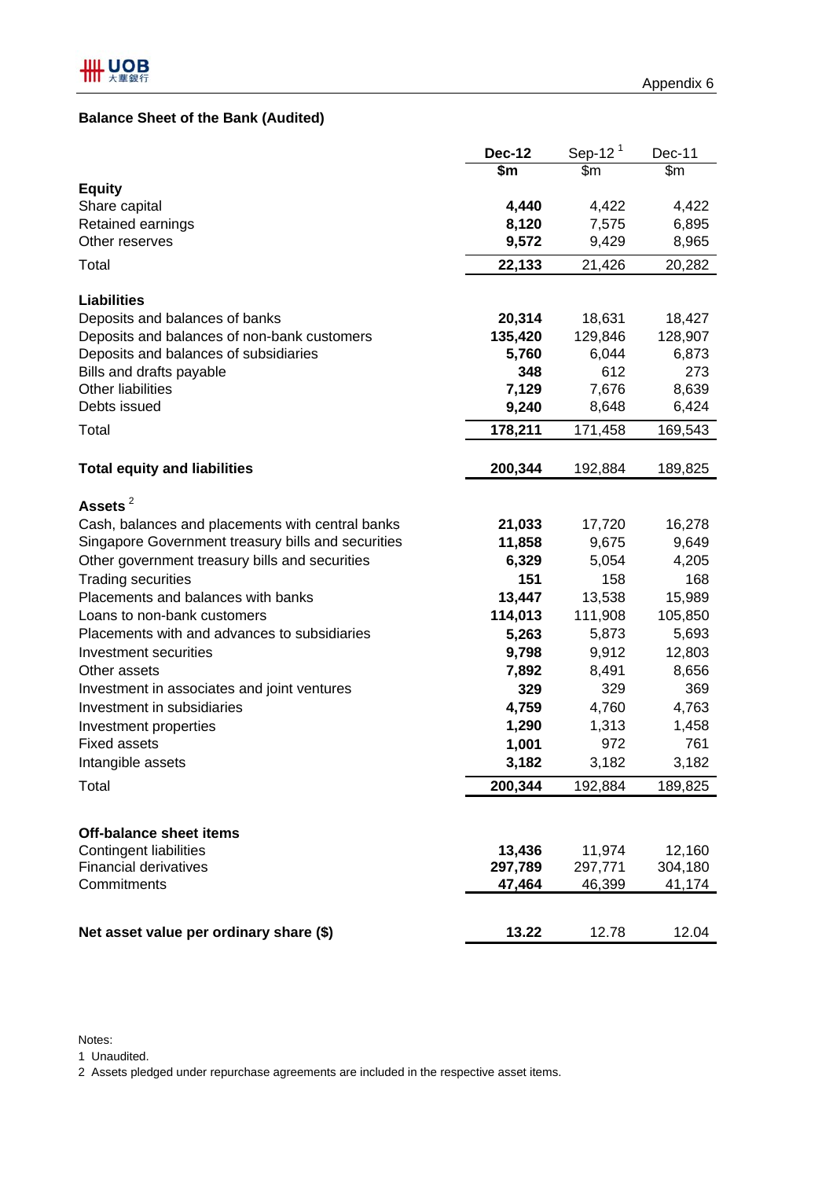# **Balance Sheet of the Bank (Audited)**

|                                                                                      | <b>Dec-12</b>    | Sep-12 $1$       | Dec-11           |
|--------------------------------------------------------------------------------------|------------------|------------------|------------------|
|                                                                                      | \$m              | \$m              | \$m              |
| <b>Equity</b>                                                                        |                  |                  |                  |
| Share capital                                                                        | 4,440            | 4,422            | 4,422            |
| Retained earnings                                                                    | 8,120            | 7,575            | 6,895            |
| Other reserves                                                                       | 9,572            | 9,429            | 8,965            |
| Total                                                                                | 22,133           | 21,426           | 20,282           |
|                                                                                      |                  |                  |                  |
| <b>Liabilities</b>                                                                   |                  |                  |                  |
| Deposits and balances of banks                                                       | 20,314           | 18,631           | 18,427           |
| Deposits and balances of non-bank customers<br>Deposits and balances of subsidiaries | 135,420<br>5,760 | 129,846<br>6,044 | 128,907<br>6,873 |
| Bills and drafts payable                                                             | 348              | 612              | 273              |
| <b>Other liabilities</b>                                                             | 7,129            | 7,676            | 8,639            |
| Debts issued                                                                         | 9,240            | 8,648            | 6,424            |
| Total                                                                                |                  |                  |                  |
|                                                                                      | 178,211          | 171,458          | 169,543          |
| <b>Total equity and liabilities</b>                                                  | 200,344          | 192,884          | 189,825          |
|                                                                                      |                  |                  |                  |
| Assets <sup>2</sup>                                                                  |                  |                  |                  |
| Cash, balances and placements with central banks                                     | 21,033           | 17,720           | 16,278           |
| Singapore Government treasury bills and securities                                   | 11,858           | 9,675            | 9,649            |
| Other government treasury bills and securities                                       | 6,329            | 5,054            | 4,205            |
| <b>Trading securities</b>                                                            | 151              | 158              | 168              |
| Placements and balances with banks                                                   | 13,447           | 13,538           | 15,989           |
| Loans to non-bank customers                                                          | 114,013          | 111,908          | 105,850          |
| Placements with and advances to subsidiaries                                         | 5,263            | 5,873            | 5,693            |
| Investment securities                                                                | 9,798            | 9,912            | 12,803           |
| Other assets                                                                         | 7,892            | 8,491            | 8,656            |
| Investment in associates and joint ventures                                          | 329              | 329              | 369              |
| Investment in subsidiaries                                                           | 4,759            | 4,760            | 4,763            |
| Investment properties                                                                | 1,290            | 1,313            | 1,458            |
| <b>Fixed assets</b>                                                                  | 1,001            | 972              | 761              |
| Intangible assets                                                                    | 3,182            | 3,182            | 3,182            |
| Total                                                                                | 200,344          | 192,884          | 189,825          |
|                                                                                      |                  |                  |                  |
| Off-balance sheet items                                                              |                  |                  |                  |
| <b>Contingent liabilities</b>                                                        | 13,436           | 11,974           | 12,160           |
| <b>Financial derivatives</b>                                                         | 297,789          | 297,771          | 304,180          |
| Commitments                                                                          | 47,464           | 46,399           | 41,174           |
| Net asset value per ordinary share (\$)                                              | 13.22            | 12.78            | 12.04            |

Notes:

1 Unaudited.

2 Assets pledged under repurchase agreements are included in the respective asset items.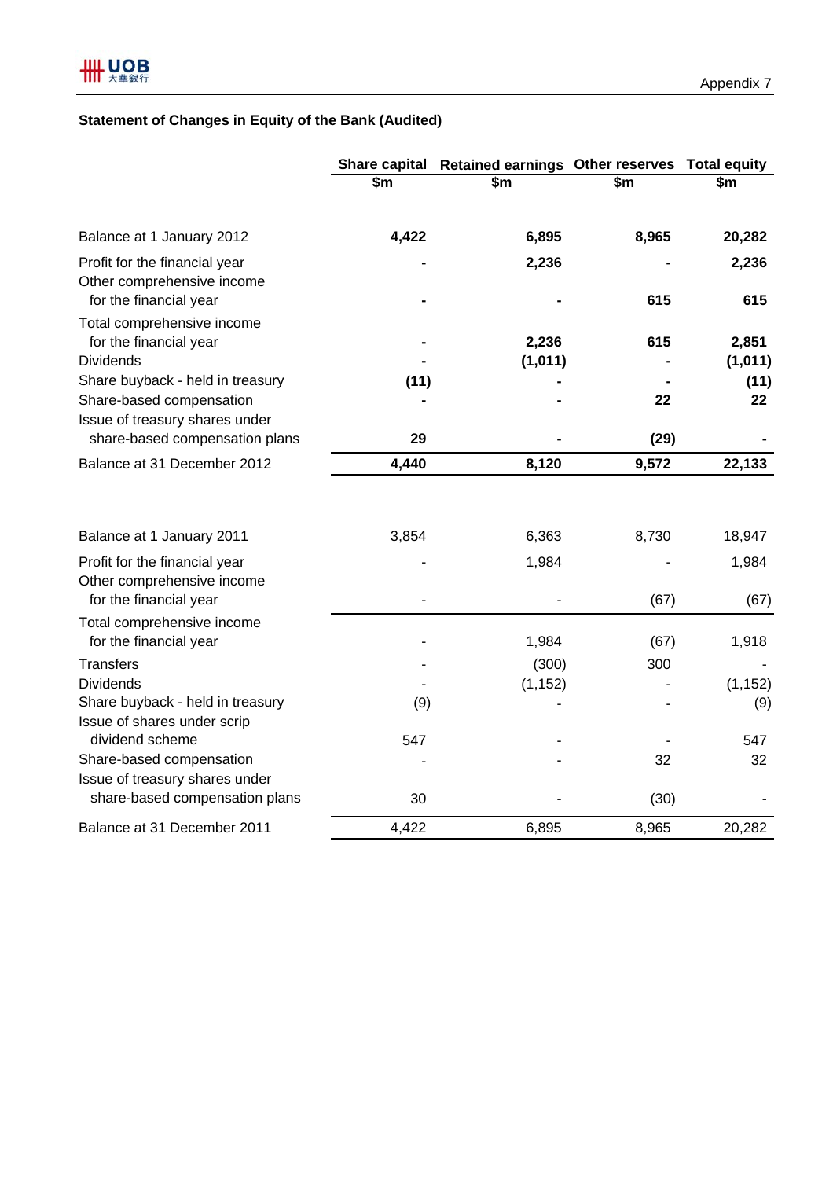# **Statement of Changes in Equity of the Bank (Audited)**

|                                                                                       |       | Share capital Retained earnings Other reserves Total equity |       |                  |
|---------------------------------------------------------------------------------------|-------|-------------------------------------------------------------|-------|------------------|
|                                                                                       | \$m\$ | $\overline{\$m}$                                            | \$m   | $\overline{\$m}$ |
| Balance at 1 January 2012                                                             | 4,422 | 6,895                                                       | 8,965 | 20,282           |
| Profit for the financial year<br>Other comprehensive income<br>for the financial year |       | 2,236                                                       | 615   | 2,236<br>615     |
| Total comprehensive income<br>for the financial year<br><b>Dividends</b>              |       | 2,236<br>(1,011)                                            | 615   | 2,851<br>(1,011) |
| Share buyback - held in treasury                                                      | (11)  |                                                             |       | (11)             |
| Share-based compensation<br>Issue of treasury shares under                            |       |                                                             | 22    | 22               |
| share-based compensation plans                                                        | 29    |                                                             | (29)  |                  |
| Balance at 31 December 2012                                                           | 4,440 | 8,120                                                       | 9,572 | 22,133           |
| Balance at 1 January 2011                                                             | 3,854 | 6,363                                                       | 8,730 | 18,947           |
| Profit for the financial year<br>Other comprehensive income<br>for the financial year |       | 1,984                                                       | (67)  | 1,984<br>(67)    |
|                                                                                       |       |                                                             |       |                  |
| Total comprehensive income<br>for the financial year                                  |       | 1,984                                                       | (67)  | 1,918            |
| <b>Transfers</b>                                                                      |       | (300)                                                       | 300   |                  |
| <b>Dividends</b>                                                                      |       | (1, 152)                                                    |       | (1, 152)         |
| Share buyback - held in treasury<br>Issue of shares under scrip                       | (9)   |                                                             |       | (9)              |
| dividend scheme                                                                       | 547   |                                                             |       | 547              |
| Share-based compensation<br>Issue of treasury shares under                            |       |                                                             | 32    | 32               |
| share-based compensation plans                                                        | 30    |                                                             | (30)  |                  |
| Balance at 31 December 2011                                                           | 4,422 | 6,895                                                       | 8,965 | 20,282           |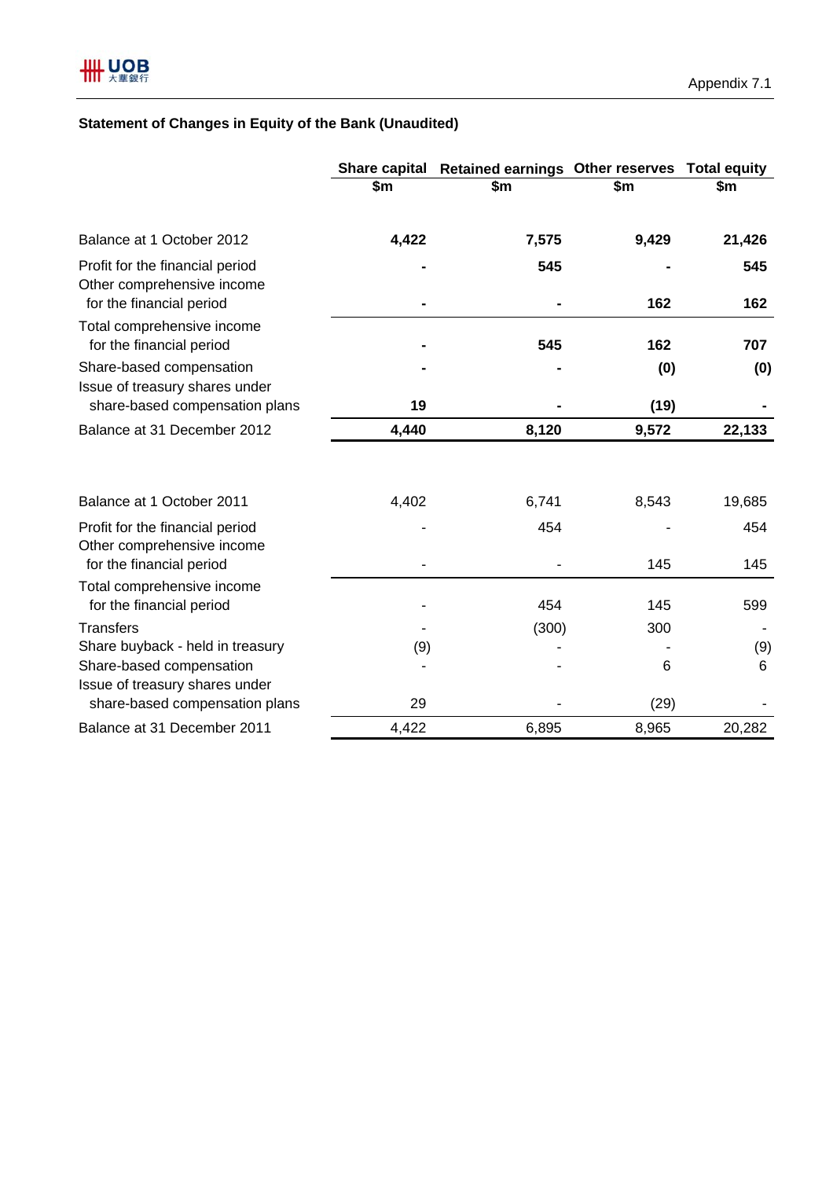# **Statement of Changes in Equity of the Bank (Unaudited)**

|                                                                                           | <b>Share capital</b> | <b>Retained earnings Other reserves</b> |       | <b>Total equity</b> |
|-------------------------------------------------------------------------------------------|----------------------|-----------------------------------------|-------|---------------------|
|                                                                                           | \$m                  | \$m                                     | \$m   | \$m                 |
| Balance at 1 October 2012                                                                 | 4,422                | 7,575                                   | 9,429 | 21,426              |
| Profit for the financial period<br>Other comprehensive income<br>for the financial period |                      | 545                                     | 162   | 545<br>162          |
| Total comprehensive income<br>for the financial period                                    |                      | 545                                     | 162   | 707                 |
| Share-based compensation<br>Issue of treasury shares under                                |                      |                                         | (0)   | (0)                 |
| share-based compensation plans                                                            | 19                   |                                         | (19)  |                     |
| Balance at 31 December 2012                                                               | 4,440                | 8,120                                   | 9,572 | 22,133              |
| Balance at 1 October 2011                                                                 | 4,402                | 6,741                                   | 8,543 | 19,685              |
| Profit for the financial period<br>Other comprehensive income                             |                      | 454                                     |       | 454                 |
| for the financial period                                                                  |                      |                                         | 145   | 145                 |
| Total comprehensive income<br>for the financial period                                    |                      | 454                                     | 145   | 599                 |
| <b>Transfers</b>                                                                          |                      | (300)                                   | 300   |                     |
| Share buyback - held in treasury                                                          | (9)                  |                                         |       | (9)                 |
| Share-based compensation<br>Issue of treasury shares under                                |                      |                                         | 6     | 6                   |
| share-based compensation plans                                                            | 29                   |                                         | (29)  |                     |
| Balance at 31 December 2011                                                               | 4,422                | 6,895                                   | 8,965 | 20,282              |